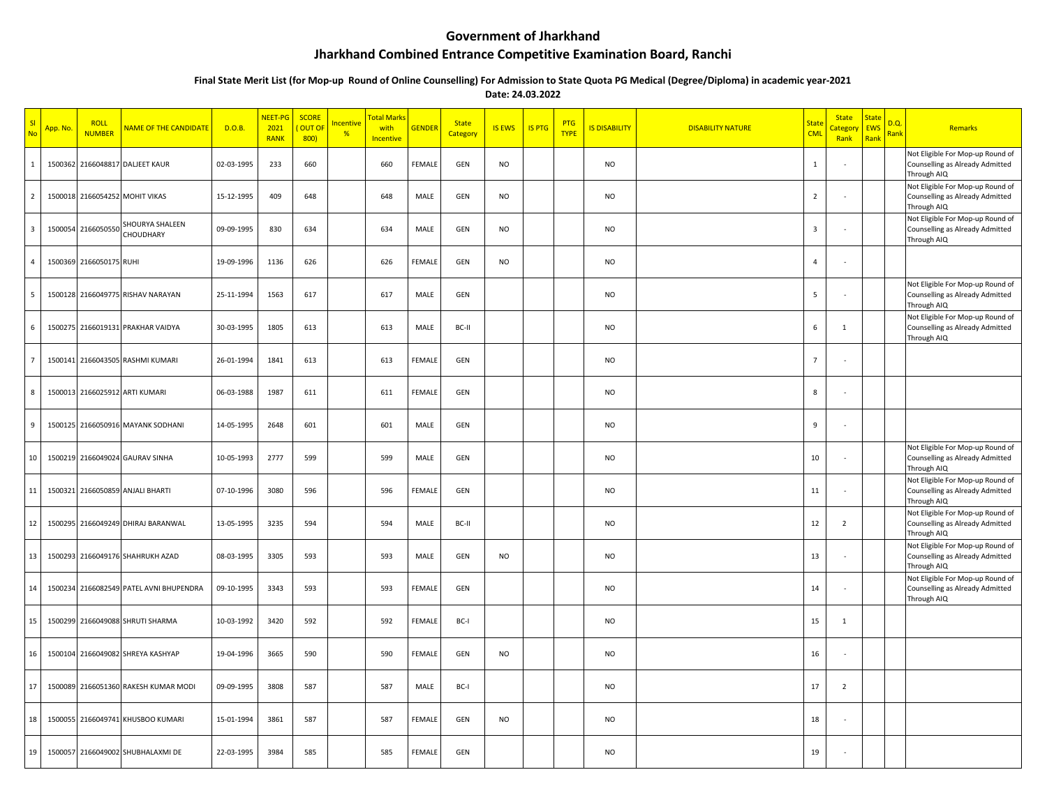## **Government of Jharkhand**

## **Jharkhand Combined Entrance Competitive Examination Board, Ranchi**

## **Final State Merit List (for Mop-up Round of Online Counselling) For Admission to State Quota PG Medical (Degree/Diploma) in academic year-2021**

**Date: 24.03.2022**

| Nc             | App. No | <b>ROLL</b><br><b>NUMBER</b> | NAME OF THE CANDIDATE             | D.O.B.     | NEET-PG<br>2021<br><b>RANK</b> | <b>SCORE</b><br><b>OUT O</b><br>800) | <mark>ncentive</mark><br>% | Total Marks<br>with<br>Incentive | <b>GENDER</b> | <b>State</b><br>Category | <b>IS EWS</b> | <b>IS PTG</b> | PTG<br><b>TYPE</b> | <b>IS DISABILITY</b> | <b>DISABILITY NATURE</b> | State<br><b>CML</b>     | <b>State</b><br>ategor<br>Rank | <b>State</b><br><b>EWS</b><br>Rank | D.Q<br>Rank | Remarks                                                                            |
|----------------|---------|------------------------------|-----------------------------------|------------|--------------------------------|--------------------------------------|----------------------------|----------------------------------|---------------|--------------------------|---------------|---------------|--------------------|----------------------|--------------------------|-------------------------|--------------------------------|------------------------------------|-------------|------------------------------------------------------------------------------------|
| $\mathbf{1}$   | 1500362 |                              | 2166048817 DALJEET KAUR           | 02-03-1995 | 233                            | 660                                  |                            | 660                              | <b>FEMALE</b> | GEN                      | <b>NO</b>     |               |                    | <b>NO</b>            |                          | 1                       |                                |                                    |             | Not Eligible For Mop-up Round of<br>Counselling as Already Admitted<br>Through AIQ |
| $\overline{2}$ | 1500018 |                              | 2166054252 MOHIT VIKAS            | 15-12-1995 | 409                            | 648                                  |                            | 648                              | MALE          | GEN                      | <b>NO</b>     |               |                    | <b>NO</b>            |                          | $\overline{2}$          |                                |                                    |             | Not Eligible For Mop-up Round of<br>Counselling as Already Admitted<br>Through AIQ |
| $\overline{3}$ | 1500054 | 2166050550                   | SHOURYA SHALEEN<br>CHOUDHARY      | 09-09-1995 | 830                            | 634                                  |                            | 634                              | MALE          | GEN                      | <b>NO</b>     |               |                    | <b>NO</b>            |                          | $\overline{\mathbf{3}}$ |                                |                                    |             | Not Eligible For Mop-up Round of<br>Counselling as Already Admitted<br>Through AIQ |
| $\overline{4}$ | 1500369 | 2166050175 RUHI              |                                   | 19-09-1996 | 1136                           | 626                                  |                            | 626                              | <b>FEMALE</b> | GEN                      | <b>NO</b>     |               |                    | <b>NO</b>            |                          | $\overline{4}$          |                                |                                    |             |                                                                                    |
| -5             |         |                              | 1500128 2166049775 RISHAV NARAYAN | 25-11-1994 | 1563                           | 617                                  |                            | 617                              | MALE          | GEN                      |               |               |                    | <b>NO</b>            |                          | 5                       |                                |                                    |             | Not Eligible For Mop-up Round of<br>Counselling as Already Admitted<br>Through AIQ |
| 6              | 1500275 |                              | 2166019131 PRAKHAR VAIDYA         | 30-03-1995 | 1805                           | 613                                  |                            | 613                              | MALE          | BC-II                    |               |               |                    | <b>NO</b>            |                          | $\,$ 6                  | $\mathbf{1}$                   |                                    |             | Not Eligible For Mop-up Round of<br>Counselling as Already Admitted<br>Through AIQ |
| 7              | 1500141 |                              | 2166043505 RASHMI KUMARI          | 26-01-1994 | 1841                           | 613                                  |                            | 613                              | FEMALE        | GEN                      |               |               |                    | <b>NO</b>            |                          | $\overline{7}$          |                                |                                    |             |                                                                                    |
| 8              | 1500013 |                              | 2166025912 ARTI KUMARI            | 06-03-1988 | 1987                           | 611                                  |                            | 611                              | <b>FEMALE</b> | GEN                      |               |               |                    | <b>NO</b>            |                          | 8                       |                                |                                    |             |                                                                                    |
| 9              | 1500125 |                              | 2166050916 MAYANK SODHANI         | 14-05-1995 | 2648                           | 601                                  |                            | 601                              | MALE          | GEN                      |               |               |                    | <b>NO</b>            |                          | 9                       |                                |                                    |             |                                                                                    |
| 10             |         |                              | 1500219 2166049024 GAURAV SINHA   | 10-05-1993 | 2777                           | 599                                  |                            | 599                              | MALE          | GEN                      |               |               |                    | <b>NO</b>            |                          | 10                      |                                |                                    |             | Not Eligible For Mop-up Round of<br>Counselling as Already Admitted<br>Through AIQ |
| 11             | 1500321 |                              | 2166050859 ANJALI BHARTI          | 07-10-1996 | 3080                           | 596                                  |                            | 596                              | <b>FEMALE</b> | GEN                      |               |               |                    | <b>NO</b>            |                          | 11                      |                                |                                    |             | Not Eligible For Mop-up Round of<br>Counselling as Already Admitted<br>Through AIQ |
| 12             | 1500295 |                              | 2166049249 DHIRAJ BARANWAL        | 13-05-1995 | 3235                           | 594                                  |                            | 594                              | MALE          | BC-II                    |               |               |                    | <b>NO</b>            |                          | 12                      | $\overline{2}$                 |                                    |             | Not Eligible For Mop-up Round of<br>Counselling as Already Admitted<br>Through AIQ |
| 13             | 1500293 |                              | 2166049176 SHAHRUKH AZAD          | 08-03-1995 | 3305                           | 593                                  |                            | 593                              | MALE          | GEN                      | <b>NO</b>     |               |                    | <b>NO</b>            |                          | 13                      |                                |                                    |             | Not Eligible For Mop-up Round of<br>Counselling as Already Admitted<br>Through AIQ |
| 14             | 1500234 |                              | 2166082549 PATEL AVNI BHUPENDRA   | 09-10-1995 | 3343                           | 593                                  |                            | 593                              | FEMALE        | GEN                      |               |               |                    | <b>NO</b>            |                          | 14                      |                                |                                    |             | Not Eligible For Mop-up Round of<br>Counselling as Already Admitted<br>Through AIQ |
| 15             | 1500299 |                              | 2166049088 SHRUTI SHARMA          | 10-03-1992 | 3420                           | 592                                  |                            | 592                              | FEMALE        | BC-I                     |               |               |                    | <b>NO</b>            |                          | 15                      | 1                              |                                    |             |                                                                                    |
| 16             | 1500104 |                              | 2166049082 SHREYA KASHYAP         | 19-04-1996 | 3665                           | 590                                  |                            | 590                              | FEMALE        | GEN                      | <b>NO</b>     |               |                    | <b>NO</b>            |                          | 16                      |                                |                                    |             |                                                                                    |
| 17             | 1500089 |                              | 2166051360 RAKESH KUMAR MODI      | 09-09-1995 | 3808                           | 587                                  |                            | 587                              | MALE          | BC-I                     |               |               |                    | <b>NO</b>            |                          | 17                      | $\overline{2}$                 |                                    |             |                                                                                    |
| 18             | 1500055 |                              | 2166049741 KHUSBOO KUMARI         | 15-01-1994 | 3861                           | 587                                  |                            | 587                              | FEMALE        | GEN                      | <b>NO</b>     |               |                    | <b>NO</b>            |                          | 18                      |                                |                                    |             |                                                                                    |
| 19             |         |                              | 1500057 2166049002 SHUBHALAXMI DE | 22-03-1995 | 3984                           | 585                                  |                            | 585                              | <b>FEMALE</b> | GEN                      |               |               |                    | <b>NO</b>            |                          | 19                      |                                |                                    |             |                                                                                    |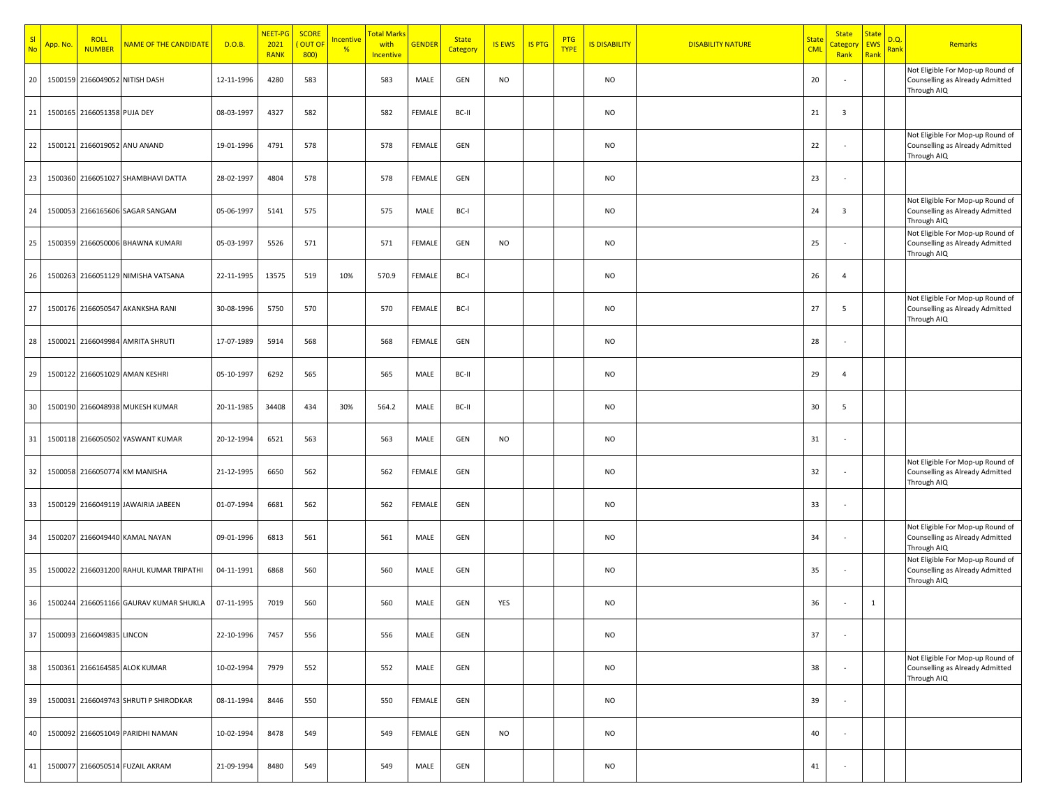| SI<br>No | App. No. | <b>ROLL</b><br><b>NUMBER</b> | NAME OF THE CANDIDATE                   | D.O.B.     | NEET-PG<br>2021<br><b>RANK</b> | <b>SCORE</b><br>OUT OF<br>800) | <u>Incentive</u><br>% | Total Mark<br>with<br>Incentive | <b>GENDER</b> | <b>State</b><br>Category | <b>IS EWS</b> | <b>IS PTG</b> | <b>PTG</b><br><b>TYPE</b> | <b>IS DISABILITY</b> | <b>DISABILITY NATURE</b> | <mark>State</mark><br><b>CML</b> | <b>State</b><br><mark>Categor</mark><br>Rank | <b>State</b><br>EWS<br>Rank | D.Q.<br><mark>Rank</mark> | Remarks                                                                            |
|----------|----------|------------------------------|-----------------------------------------|------------|--------------------------------|--------------------------------|-----------------------|---------------------------------|---------------|--------------------------|---------------|---------------|---------------------------|----------------------|--------------------------|----------------------------------|----------------------------------------------|-----------------------------|---------------------------|------------------------------------------------------------------------------------|
| 20       | 1500159  |                              | 2166049052 NITISH DASH                  | 12-11-1996 | 4280                           | 583                            |                       | 583                             | MALE          | GEN                      | <b>NO</b>     |               |                           | <b>NO</b>            |                          | 20                               |                                              |                             |                           | Not Eligible For Mop-up Round of<br>Counselling as Already Admitted<br>Through AIQ |
| 21       |          | 1500165 2166051358 PUJA DEY  |                                         | 08-03-1997 | 4327                           | 582                            |                       | 582                             | <b>FEMALE</b> | BC-II                    |               |               |                           | <b>NO</b>            |                          | 21                               | $\overline{\mathbf{3}}$                      |                             |                           |                                                                                    |
| 22       |          |                              | 1500121 2166019052 ANU ANAND            | 19-01-1996 | 4791                           | 578                            |                       | 578                             | FEMALE        | GEN                      |               |               |                           | <b>NO</b>            |                          | 22                               |                                              |                             |                           | Not Eligible For Mop-up Round of<br>Counselling as Already Admitted<br>Through AIQ |
| 23       |          |                              | 1500360 2166051027 SHAMBHAVI DATTA      | 28-02-1997 | 4804                           | 578                            |                       | 578                             | FEMALE        | GEN                      |               |               |                           | <b>NO</b>            |                          | 23                               |                                              |                             |                           |                                                                                    |
| 24       |          |                              | 1500053 2166165606 SAGAR SANGAM         | 05-06-1997 | 5141                           | 575                            |                       | 575                             | MALE          | BC-I                     |               |               |                           | <b>NO</b>            |                          | 24                               | $\overline{\mathbf{3}}$                      |                             |                           | Not Eligible For Mop-up Round of<br>Counselling as Already Admitted<br>Through AIQ |
| 25       |          |                              | 1500359 2166050006 BHAWNA KUMARI        | 05-03-1997 | 5526                           | 571                            |                       | 571                             | FEMALE        | GEN                      | <b>NO</b>     |               |                           | <b>NO</b>            |                          | 25                               |                                              |                             |                           | Not Eligible For Mop-up Round of<br>Counselling as Already Admitted<br>Through AIQ |
| 26       |          |                              | 1500263 2166051129 NIMISHA VATSANA      | 22-11-1995 | 13575                          | 519                            | 10%                   | 570.9                           | FEMALE        | BC-I                     |               |               |                           | <b>NO</b>            |                          | 26                               | $\overline{4}$                               |                             |                           |                                                                                    |
| 27       |          |                              | 1500176 2166050547 AKANKSHA RANI        | 30-08-1996 | 5750                           | 570                            |                       | 570                             | FEMALE        | BC-I                     |               |               |                           | <b>NO</b>            |                          | 27                               | 5                                            |                             |                           | Not Eligible For Mop-up Round of<br>Counselling as Already Admitted<br>Through AIQ |
| 28       |          |                              | 1500021 2166049984 AMRITA SHRUTI        | 17-07-1989 | 5914                           | 568                            |                       | 568                             | FEMALE        | GEN                      |               |               |                           | <b>NO</b>            |                          | 28                               |                                              |                             |                           |                                                                                    |
| 29       |          |                              | 1500122 2166051029 AMAN KESHRI          | 05-10-1997 | 6292                           | 565                            |                       | 565                             | MALE          | BC-II                    |               |               |                           | <b>NO</b>            |                          | 29                               | $\overline{4}$                               |                             |                           |                                                                                    |
| 30       |          |                              | 1500190 2166048938 MUKESH KUMAR         | 20-11-1985 | 34408                          | 434                            | 30%                   | 564.2                           | MALE          | BC-II                    |               |               |                           | NO.                  |                          | 30                               | -5                                           |                             |                           |                                                                                    |
| 31       |          |                              | 1500118 2166050502 YASWANT KUMAR        | 20-12-1994 | 6521                           | 563                            |                       | 563                             | MALE          | GEN                      | <b>NO</b>     |               |                           | <b>NO</b>            |                          | 31                               |                                              |                             |                           |                                                                                    |
| 32       | 1500058  |                              | 2166050774 KM MANISHA                   | 21-12-1995 | 6650                           | 562                            |                       | 562                             | FEMALE        | GEN                      |               |               |                           | <b>NO</b>            |                          | 32                               |                                              |                             |                           | Not Eligible For Mop-up Round of<br>Counselling as Already Admitted<br>Through AIQ |
| 33       |          |                              | 1500129 2166049119 JAWAIRIA JABEEN      | 01-07-1994 | 6681                           | 562                            |                       | 562                             | FEMALE        | GEN                      |               |               |                           | <b>NO</b>            |                          | 33                               |                                              |                             |                           |                                                                                    |
| 34       |          |                              | 1500207 2166049440 KAMAL NAYAN          | 09-01-1996 | 6813                           | 561                            |                       | 561                             | MALE          | GEN                      |               |               |                           | <b>NO</b>            |                          | 34                               |                                              |                             |                           | Not Eligible For Mop-up Round of<br>Counselling as Already Admitted<br>Through AIQ |
| 35       |          |                              | 1500022 2166031200 RAHUL KUMAR TRIPATHI | 04-11-1991 | 6868                           | 560                            |                       | 560                             | MALE          | GEN                      |               |               |                           | NO                   |                          | 35                               |                                              |                             |                           | Not Eligible For Mop-up Round of<br>Counselling as Already Admitted<br>Through AIQ |
| 36       |          |                              | 1500244 2166051166 GAURAV KUMAR SHUKLA  | 07-11-1995 | 7019                           | 560                            |                       | 560                             | MALE          | GEN                      | YES           |               |                           | <b>NO</b>            |                          | 36                               |                                              | $\mathbf{1}$                |                           |                                                                                    |
| 37       |          | 1500093 2166049835 LINCON    |                                         | 22-10-1996 | 7457                           | 556                            |                       | 556                             | MALE          | GEN                      |               |               |                           | NO                   |                          | 37                               |                                              |                             |                           |                                                                                    |
| 38       |          |                              | 1500361 2166164585 ALOK KUMAR           | 10-02-1994 | 7979                           | 552                            |                       | 552                             | MALE          | GEN                      |               |               |                           | <b>NO</b>            |                          | 38                               | $\sim$                                       |                             |                           | Not Eligible For Mop-up Round of<br>Counselling as Already Admitted<br>Through AIQ |
| 39       |          |                              | 1500031 2166049743 SHRUTI P SHIRODKAR   | 08-11-1994 | 8446                           | 550                            |                       | 550                             | FEMALE        | GEN                      |               |               |                           | <b>NO</b>            |                          | 39                               |                                              |                             |                           |                                                                                    |
| 40       |          |                              | 1500092 2166051049 PARIDHI NAMAN        | 10-02-1994 | 8478                           | 549                            |                       | 549                             | FEMALE        | GEN                      | NO            |               |                           | <b>NO</b>            |                          | 40                               |                                              |                             |                           |                                                                                    |
| 41       | 1500077  |                              | 2166050514 FUZAIL AKRAM                 | 21-09-1994 | 8480                           | 549                            |                       | 549                             | MALE          | GEN                      |               |               |                           | NO                   |                          | 41                               |                                              |                             |                           |                                                                                    |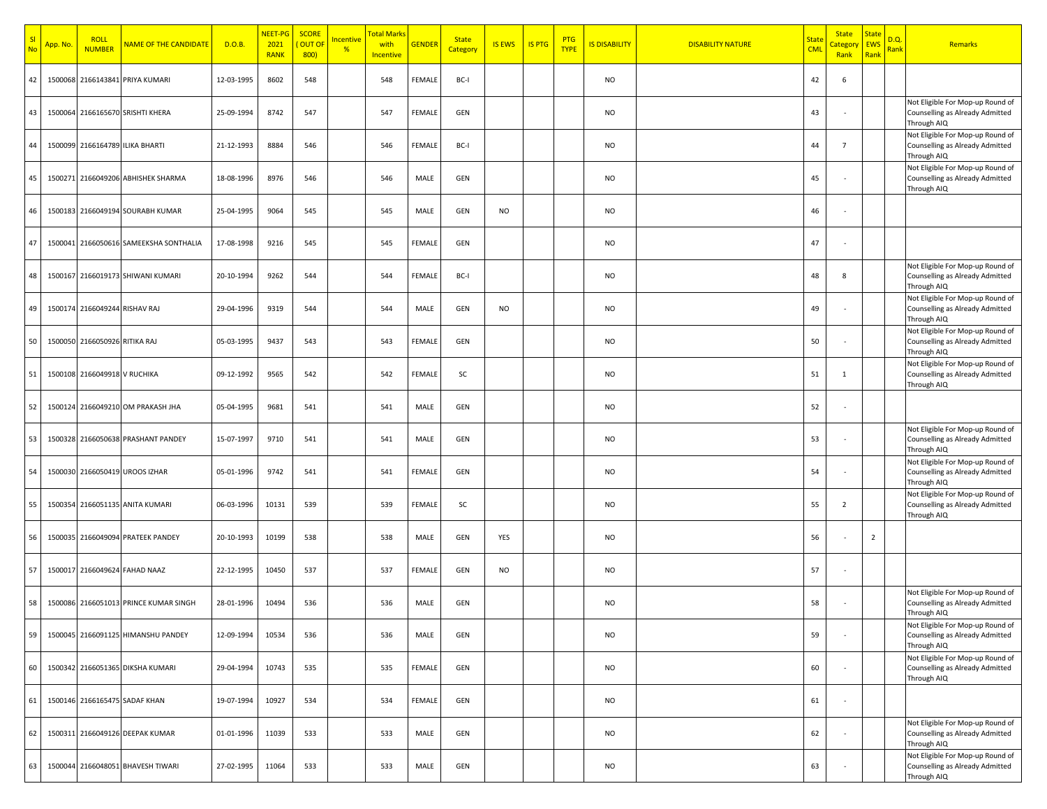| S <sub>l</sub><br><b>No</b> | App. No. | <b>ROLL</b><br><b>NUMBER</b>  | NAME OF THE CANDIDATE                  | D.O.B.     | NEET-PG<br>2021<br><b>RANK</b> | <b>SCORE</b><br>OUT OF<br>800) | <mark>ncentive</mark><br>% | Total Marks<br>with<br>Incentive | <b>GENDER</b> | <b>State</b><br>Category | <b>IS EWS</b> | <b>IS PTG</b> | PTG<br><b>TYPE</b> | <b>IS DISABILITY</b> | <b>DISABILITY NATURE</b> | <b>State</b><br><b>CML</b> | <b>State</b><br>Category<br>Rank | <b>State</b><br><b>EWS</b><br>Rank | D.Q.<br>Rank | Remarks                                                                            |
|-----------------------------|----------|-------------------------------|----------------------------------------|------------|--------------------------------|--------------------------------|----------------------------|----------------------------------|---------------|--------------------------|---------------|---------------|--------------------|----------------------|--------------------------|----------------------------|----------------------------------|------------------------------------|--------------|------------------------------------------------------------------------------------|
| 42                          |          |                               | 1500068 2166143841 PRIYA KUMARI        | 12-03-1995 | 8602                           | 548                            |                            | 548                              | FEMALE        | BC-I                     |               |               |                    | <b>NO</b>            |                          | 42                         | 6                                |                                    |              |                                                                                    |
| 43                          |          |                               | 1500064 2166165670 SRISHTI KHERA       | 25-09-1994 | 8742                           | 547                            |                            | 547                              | FEMALE        | GEN                      |               |               |                    | <b>NO</b>            |                          | 43                         |                                  |                                    |              | Not Eligible For Mop-up Round of<br>Counselling as Already Admitted<br>Through AIQ |
| 44                          |          |                               | 1500099 2166164789 ILIKA BHARTI        | 21-12-1993 | 8884                           | 546                            |                            | 546                              | FEMALE        | BC-I                     |               |               |                    | <b>NO</b>            |                          | 44                         | $\overline{7}$                   |                                    |              | Not Eligible For Mop-up Round of<br>Counselling as Already Admitted<br>Through AIQ |
| 45                          |          |                               | 1500271 2166049206 ABHISHEK SHARMA     | 18-08-1996 | 8976                           | 546                            |                            | 546                              | MALE          | GEN                      |               |               |                    | <b>NO</b>            |                          | 45                         |                                  |                                    |              | Not Eligible For Mop-up Round of<br>Counselling as Already Admitted<br>Through AIQ |
| 46                          |          |                               | 1500183 2166049194 SOURABH KUMAR       | 25-04-1995 | 9064                           | 545                            |                            | 545                              | MALE          | GEN                      | <b>NO</b>     |               |                    | <b>NO</b>            |                          | 46                         |                                  |                                    |              |                                                                                    |
| 47                          |          |                               | 1500041 2166050616 SAMEEKSHA SONTHALIA | 17-08-1998 | 9216                           | 545                            |                            | 545                              | FEMALE        | GEN                      |               |               |                    | <b>NO</b>            |                          | 47                         |                                  |                                    |              |                                                                                    |
| 48                          |          |                               | 1500167 2166019173 SHIWANI KUMARI      | 20-10-1994 | 9262                           | 544                            |                            | 544                              | FEMALE        | BC-I                     |               |               |                    | <b>NO</b>            |                          | 48                         | 8                                |                                    |              | Not Eligible For Mop-up Round of<br>Counselling as Already Admitted<br>Through AIQ |
| 49                          |          | 1500174 2166049244 RISHAV RAJ |                                        | 29-04-1996 | 9319                           | 544                            |                            | 544                              | MALE          | GEN                      | <b>NO</b>     |               |                    | <b>NO</b>            |                          | 49                         |                                  |                                    |              | Not Eligible For Mop-up Round of<br>Counselling as Already Admitted<br>Through AIQ |
| 50                          |          | 1500050 2166050926 RITIKA RAJ |                                        | 05-03-1995 | 9437                           | 543                            |                            | 543                              | FEMALE        | GEN                      |               |               |                    | <b>NO</b>            |                          | 50                         |                                  |                                    |              | Not Eligible For Mop-up Round of<br>Counselling as Already Admitted<br>Through AIQ |
| 51                          |          | 1500108 2166049918 V RUCHIKA  |                                        | 09-12-1992 | 9565                           | 542                            |                            | 542                              | FEMALE        | SC                       |               |               |                    | <b>NO</b>            |                          | 51                         | -1                               |                                    |              | Not Eligible For Mop-up Round of<br>Counselling as Already Admitted<br>Through AIQ |
| 52                          |          |                               | 1500124 2166049210 OM PRAKASH JHA      | 05-04-1995 | 9681                           | 541                            |                            | 541                              | MALE          | GEN                      |               |               |                    | <b>NO</b>            |                          | 52                         |                                  |                                    |              |                                                                                    |
| 53                          |          |                               | 1500328 2166050638 PRASHANT PANDEY     | 15-07-1997 | 9710                           | 541                            |                            | 541                              | MALE          | GEN                      |               |               |                    | <b>NO</b>            |                          | 53                         |                                  |                                    |              | Not Eligible For Mop-up Round of<br>Counselling as Already Admitted<br>Through AIQ |
| 54                          |          |                               | 1500030 2166050419 UROOS IZHAR         | 05-01-1996 | 9742                           | 541                            |                            | 541                              | FEMALE        | GEN                      |               |               |                    | <b>NO</b>            |                          | 54                         |                                  |                                    |              | Not Eligible For Mop-up Round of<br>Counselling as Already Admitted<br>Through AIQ |
| 55                          |          |                               | 1500354 2166051135 ANITA KUMARI        | 06-03-1996 | 10131                          | 539                            |                            | 539                              | FEMALE        | SC                       |               |               |                    | <b>NO</b>            |                          | 55                         | $\overline{2}$                   |                                    |              | Not Eligible For Mop-up Round of<br>Counselling as Already Admitted<br>Through AIQ |
| 56                          |          |                               | 1500035 2166049094 PRATEEK PANDEY      | 20-10-1993 | 10199                          | 538                            |                            | 538                              | MALE          | GEN                      | YES           |               |                    | <b>NO</b>            |                          | 56                         |                                  | $\overline{2}$                     |              |                                                                                    |
| 57                          |          |                               | 1500017 2166049624 FAHAD NAAZ          | 22-12-1995 | 10450                          | 537                            |                            | 537                              | FEMALE        | GEN                      | NO.           |               |                    | <b>NO</b>            |                          | 57                         |                                  |                                    |              |                                                                                    |
| 58                          |          |                               | 1500086 2166051013 PRINCE KUMAR SINGH  | 28-01-1996 | 10494                          | 536                            |                            | 536                              | MALE          | GEN                      |               |               |                    | <b>NO</b>            |                          | 58                         |                                  |                                    |              | Not Eligible For Mop-up Round of<br>Counselling as Already Admitted<br>Through AIQ |
| 59                          |          |                               | 1500045 2166091125 HIMANSHU PANDEY     | 12-09-1994 | 10534                          | 536                            |                            | 536                              | MALE          | GEN                      |               |               |                    | <b>NO</b>            |                          | 59                         |                                  |                                    |              | Not Eligible For Mop-up Round of<br>Counselling as Already Admitted<br>Through AIQ |
| 60                          |          |                               | 1500342 2166051365 DIKSHA KUMARI       | 29-04-1994 | 10743                          | 535                            |                            | 535                              | FEMALE        | GEN                      |               |               |                    | <b>NO</b>            |                          | 60                         |                                  |                                    |              | Not Eligible For Mop-up Round of<br>Counselling as Already Admitted<br>Through AIQ |
| 61                          |          |                               | 1500146 2166165475 SADAF KHAN          | 19-07-1994 | 10927                          | 534                            |                            | 534                              | FEMALE        | GEN                      |               |               |                    | <b>NO</b>            |                          | 61                         |                                  |                                    |              |                                                                                    |
| 62                          |          |                               | 1500311 2166049126 DEEPAK KUMAR        | 01-01-1996 | 11039                          | 533                            |                            | 533                              | MALE          | GEN                      |               |               |                    | <b>NO</b>            |                          | 62                         |                                  |                                    |              | Not Eligible For Mop-up Round of<br>Counselling as Already Admitted<br>Through AIQ |
| 63                          |          |                               | 1500044 2166048051 BHAVESH TIWARI      | 27-02-1995 | 11064                          | 533                            |                            | 533                              | MALE          | GEN                      |               |               |                    | <b>NO</b>            |                          | 63                         |                                  |                                    |              | Not Eligible For Mop-up Round of<br>Counselling as Already Admitted<br>Through AIQ |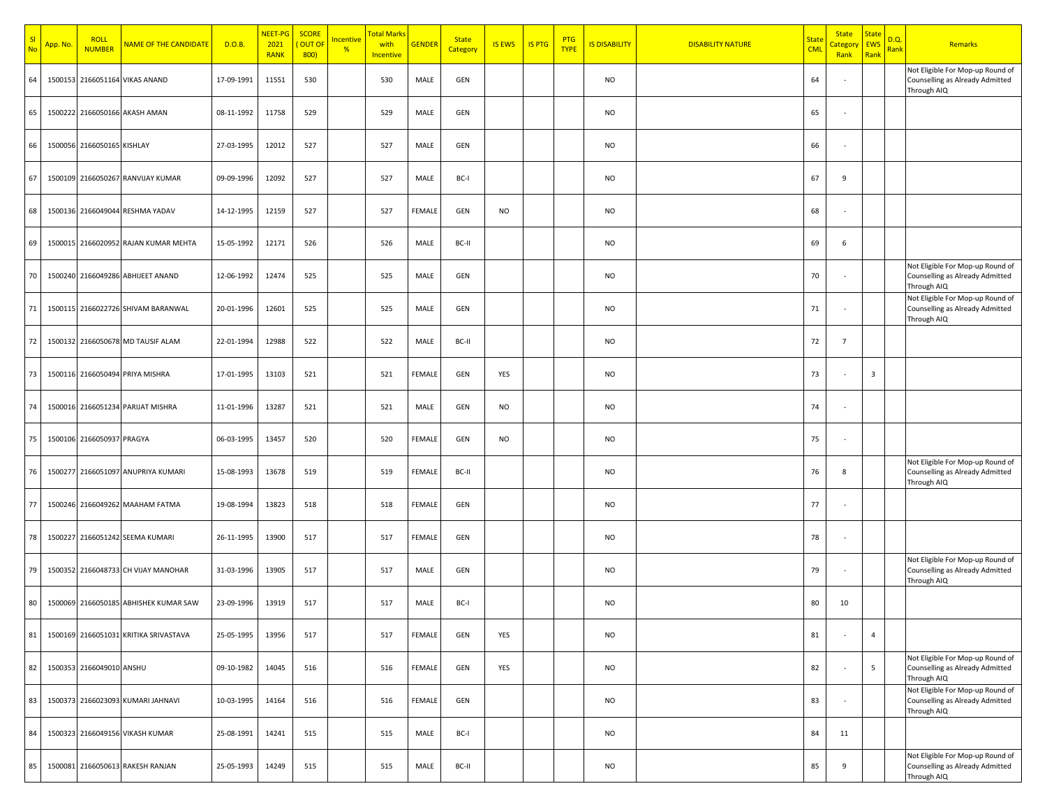| N <sub>0</sub> | <mark>App. No</mark> | <b>ROLL</b><br><b>NUMBER</b> | NAME OF THE CANDIDATE                 | D.O.B.     | NEET-PG<br>2021<br><b>RANK</b> | <b>SCORE</b><br><b>OUT OF</b><br>800 | ncentive<br>% | <b>Total Mark:</b><br>with<br>Incentive | <b>GENDER</b> | <b>State</b><br>Category | <b>IS EWS</b> | <b>IS PTG</b> | <b>PTG</b><br><b>TYPE</b> | <b>IS DISABILITY</b> | <b>DISABILITY NATURE</b> | <mark>State</mark><br><b>CML</b> | <b>State</b><br><mark>Categor</mark><br>Rank | <b>State</b><br>EWS<br>Rank | D.Q.<br>Rank | <b>Remarks</b>                                                                     |
|----------------|----------------------|------------------------------|---------------------------------------|------------|--------------------------------|--------------------------------------|---------------|-----------------------------------------|---------------|--------------------------|---------------|---------------|---------------------------|----------------------|--------------------------|----------------------------------|----------------------------------------------|-----------------------------|--------------|------------------------------------------------------------------------------------|
| 64             |                      |                              | 1500153 2166051164 VIKAS ANAND        | 17-09-1991 | 11551                          | 530                                  |               | 530                                     | MALE          | GEN                      |               |               |                           | <b>NO</b>            |                          | 64                               |                                              |                             |              | Not Eligible For Mop-up Round of<br>Counselling as Already Admitted<br>Through AIQ |
| 65             |                      |                              | 1500222 2166050166 AKASH AMAN         | 08-11-1992 | 11758                          | 529                                  |               | 529                                     | MALE          | GEN                      |               |               |                           | <b>NO</b>            |                          | 65                               |                                              |                             |              |                                                                                    |
| 66             |                      | 1500056 2166050165 KISHLAY   |                                       | 27-03-1995 | 12012                          | 527                                  |               | 527                                     | MALE          | GEN                      |               |               |                           | <b>NO</b>            |                          | 66                               |                                              |                             |              |                                                                                    |
| 67             |                      |                              | 1500109 2166050267 RANVIJAY KUMAR     | 09-09-1996 | 12092                          | 527                                  |               | 527                                     | MALE          | BC-I                     |               |               |                           | <b>NO</b>            |                          | 67                               | 9                                            |                             |              |                                                                                    |
| 68             |                      |                              | 1500136 2166049044 RESHMA YADAV       | 14-12-1995 | 12159                          | 527                                  |               | 527                                     | FEMALE        | GEN                      | <b>NO</b>     |               |                           | <b>NO</b>            |                          | 68                               |                                              |                             |              |                                                                                    |
| 69             |                      |                              | 1500015 2166020952 RAJAN KUMAR MEHTA  | 15-05-1992 | 12171                          | 526                                  |               | 526                                     | MALE          | BC-II                    |               |               |                           | <b>NO</b>            |                          | 69                               | 6                                            |                             |              |                                                                                    |
| 70             |                      |                              | 1500240 2166049286 ABHIJEET ANAND     | 12-06-1992 | 12474                          | 525                                  |               | 525                                     | MALE          | GEN                      |               |               |                           | <b>NO</b>            |                          | 70                               |                                              |                             |              | Not Eligible For Mop-up Round of<br>Counselling as Already Admitted<br>Through AIQ |
| 71             |                      |                              | 1500115 2166022726 SHIVAM BARANWAL    | 20-01-1996 | 12601                          | 525                                  |               | 525                                     | MALE          | GEN                      |               |               |                           | <b>NO</b>            |                          | 71                               |                                              |                             |              | Not Eligible For Mop-up Round of<br>Counselling as Already Admitted<br>Through AIQ |
| 72             |                      |                              | 1500132 2166050678 MD TAUSIF ALAM     | 22-01-1994 | 12988                          | 522                                  |               | 522                                     | MALE          | BC-II                    |               |               |                           | <b>NO</b>            |                          | 72                               | $\overline{7}$                               |                             |              |                                                                                    |
| 73             |                      |                              | 1500116 2166050494 PRIYA MISHRA       | 17-01-1995 | 13103                          | 521                                  |               | 521                                     | FEMALE        | GEN                      | YES           |               |                           | <b>NO</b>            |                          | 73                               |                                              | $\overline{\mathbf{3}}$     |              |                                                                                    |
| 74             |                      |                              | 1500016 2166051234 PARIJAT MISHRA     | 11-01-1996 | 13287                          | 521                                  |               | 521                                     | MALE          | GEN                      | <b>NO</b>     |               |                           | <b>NO</b>            |                          | 74                               |                                              |                             |              |                                                                                    |
| 75             |                      | 1500106 2166050937 PRAGYA    |                                       | 06-03-1995 | 13457                          | 520                                  |               | 520                                     | FEMALE        | GEN                      | <b>NO</b>     |               |                           | <b>NO</b>            |                          | 75                               |                                              |                             |              |                                                                                    |
| 76             |                      |                              | 1500277 2166051097 ANUPRIYA KUMARI    | 15-08-1993 | 13678                          | 519                                  |               | 519                                     | FEMALE        | BC-II                    |               |               |                           | NO                   |                          | 76                               | 8                                            |                             |              | Not Eligible For Mop-up Round of<br>Counselling as Already Admitted<br>Through AIQ |
| 77             |                      |                              | 1500246 2166049262 MAAHAM FATMA       | 19-08-1994 | 13823                          | 518                                  |               | 518                                     | FEMALE        | GEN                      |               |               |                           | <b>NO</b>            |                          | 77                               |                                              |                             |              |                                                                                    |
| 78             |                      |                              | 1500227 2166051242 SEEMA KUMARI       | 26-11-1995 | 13900                          | 517                                  |               | 517                                     | FEMALE        | GEN                      |               |               |                           | <b>NO</b>            |                          | 78                               |                                              |                             |              |                                                                                    |
| 79             |                      |                              | 1500352 2166048733 CH VIJAY MANOHAR   | 31-03-1996 | 13905                          | 517                                  |               | 517                                     | MALE          | GEN                      |               |               |                           | <b>NO</b>            |                          | 79                               |                                              |                             |              | Not Eligible For Mop-up Round of<br>Counselling as Already Admitted<br>Through AIQ |
| 80             |                      |                              | 1500069 2166050185 ABHISHEK KUMAR SAW | 23-09-1996 | 13919                          | 517                                  |               | 517                                     | MALE          | BC-I                     |               |               |                           | <b>NO</b>            |                          | 80                               | 10                                           |                             |              |                                                                                    |
| 81             |                      |                              | 1500169 2166051031 KRITIKA SRIVASTAVA | 25-05-1995 | 13956                          | 517                                  |               | 517                                     | <b>FEMALE</b> | GEN                      | YES           |               |                           | <b>NO</b>            |                          | 81                               |                                              | $\overline{4}$              |              |                                                                                    |
| 82             |                      | 1500353 2166049010 ANSHU     |                                       | 09-10-1982 | 14045                          | 516                                  |               | 516                                     | <b>FEMALE</b> | GEN                      | YES           |               |                           | <b>NO</b>            |                          | 82                               |                                              | 5 <sub>1</sub>              |              | Not Eligible For Mop-up Round of<br>Counselling as Already Admitted<br>Through AIQ |
| 83             |                      |                              | 1500373 2166023093 KUMARI JAHNAVI     | 10-03-1995 | 14164                          | 516                                  |               | 516                                     | FEMALE        | GEN                      |               |               |                           | <b>NO</b>            |                          | 83                               |                                              |                             |              | Not Eligible For Mop-up Round of<br>Counselling as Already Admitted<br>Through AIQ |
| 84             |                      |                              | 1500323 2166049156 VIKASH KUMAR       | 25-08-1991 | 14241                          | 515                                  |               | 515                                     | MALE          | BC-I                     |               |               |                           | <b>NO</b>            |                          | 84                               | 11                                           |                             |              |                                                                                    |
| 85             |                      |                              | 1500081 2166050613 RAKESH RANJAN      | 25-05-1993 | 14249                          | 515                                  |               | 515                                     | MALE          | BC-II                    |               |               |                           | <b>NO</b>            |                          | 85                               | 9                                            |                             |              | Not Eligible For Mop-up Round of<br>Counselling as Already Admitted<br>Through AIQ |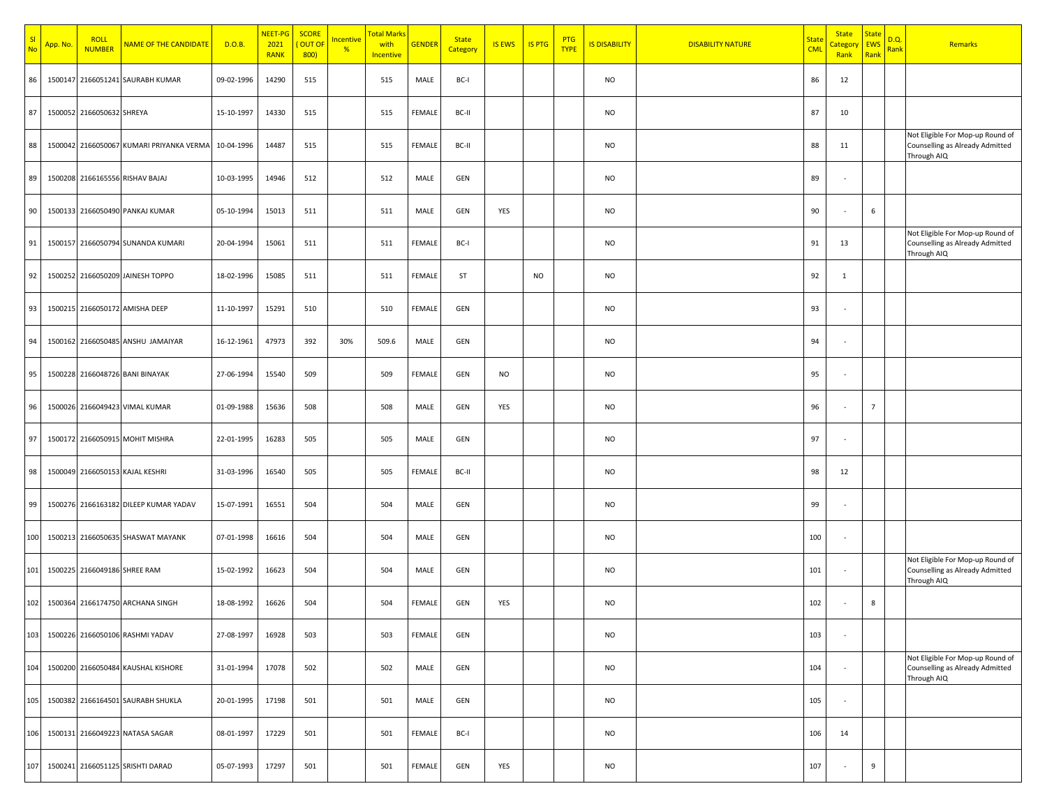| <b>No</b> | App. No. | <b>ROLL</b><br><b>NUMBER</b> | NAME OF THE CANDIDATE                    | D.O.B.     | NEET-PG<br>2021<br><b>RANK</b> | <b>SCORE</b><br>OUT OF<br>800) | <mark>Incentive</mark><br>$\frac{96}{6}$ | <b>Total Marks</b><br>with<br>Incentive | <b>GENDER</b> | <b>State</b><br>Category | <b>IS EWS</b> | <b>IS PTG</b> | <b>PTG</b><br><b>TYPE</b> | <b>IS DISABILITY</b> | <b>DISABILITY NATURE</b> | <u>State</u><br><b>CML</b> | <b>State</b><br><mark>`ategor</mark><br>Rank | <b>State</b><br>EWS<br>Rank | D.Q.<br>Rank | Remarks                                                                            |
|-----------|----------|------------------------------|------------------------------------------|------------|--------------------------------|--------------------------------|------------------------------------------|-----------------------------------------|---------------|--------------------------|---------------|---------------|---------------------------|----------------------|--------------------------|----------------------------|----------------------------------------------|-----------------------------|--------------|------------------------------------------------------------------------------------|
| 86        |          |                              | 1500147 2166051241 SAURABH KUMAR         | 09-02-1996 | 14290                          | 515                            |                                          | 515                                     | MALE          | BC-I                     |               |               |                           | <b>NO</b>            |                          | 86                         | 12                                           |                             |              |                                                                                    |
| 87        |          | 1500052 2166050632 SHREYA    |                                          | 15-10-1997 | 14330                          | 515                            |                                          | 515                                     | FEMALE        | BC-II                    |               |               |                           | <b>NO</b>            |                          | 87                         | 10                                           |                             |              |                                                                                    |
| 88        |          |                              | 1500042 2166050067 KUMARI PRIYANKA VERMA | 10-04-1996 | 14487                          | 515                            |                                          | 515                                     | FEMALE        | BC-II                    |               |               |                           | <b>NO</b>            |                          | 88                         | 11                                           |                             |              | Not Eligible For Mop-up Round of<br>Counselling as Already Admitted<br>Through AIQ |
| 89        |          |                              | 1500208 2166165556 RISHAV BAJAJ          | 10-03-1995 | 14946                          | 512                            |                                          | 512                                     | MALE          | GEN                      |               |               |                           | <b>NO</b>            |                          | 89                         |                                              |                             |              |                                                                                    |
| 90        |          |                              | 1500133 2166050490 PANKAJ KUMAR          | 05-10-1994 | 15013                          | 511                            |                                          | 511                                     | MALE          | GEN                      | YES           |               |                           | <b>NO</b>            |                          | 90                         |                                              | $\,$ 6 $\,$                 |              |                                                                                    |
| 91        |          |                              | 1500157 2166050794 SUNANDA KUMARI        | 20-04-1994 | 15061                          | 511                            |                                          | 511                                     | FEMALE        | BC-I                     |               |               |                           | <b>NO</b>            |                          | 91                         | 13                                           |                             |              | Not Eligible For Mop-up Round of<br>Counselling as Already Admitted<br>Through AIQ |
| 92        |          |                              | 1500252 2166050209 JAINESH TOPPO         | 18-02-1996 | 15085                          | 511                            |                                          | 511                                     | FEMALE        | ST                       |               | <b>NO</b>     |                           | <b>NO</b>            |                          | 92                         | 1                                            |                             |              |                                                                                    |
| 93        |          |                              | 1500215 2166050172 AMISHA DEEP           | 11-10-1997 | 15291                          | 510                            |                                          | 510                                     | FEMALE        | GEN                      |               |               |                           | <b>NO</b>            |                          | 93                         |                                              |                             |              |                                                                                    |
| 94        |          |                              | 1500162 2166050485 ANSHU JAMAIYAR        | 16-12-1961 | 47973                          | 392                            | 30%                                      | 509.6                                   | MALE          | GEN                      |               |               |                           | <b>NO</b>            |                          | 94                         |                                              |                             |              |                                                                                    |
| 95        |          |                              | 1500228 2166048726 BANI BINAYAK          | 27-06-1994 | 15540                          | 509                            |                                          | 509                                     | FEMALE        | GEN                      | <b>NO</b>     |               |                           | <b>NO</b>            |                          | 95                         |                                              |                             |              |                                                                                    |
| 96        |          |                              | 1500026 2166049423 VIMAL KUMAR           | 01-09-1988 | 15636                          | 508                            |                                          | 508                                     | MALE          | GEN                      | YES           |               |                           | <b>NO</b>            |                          | 96                         |                                              | $\overline{7}$              |              |                                                                                    |
| 97        |          |                              | 1500172 2166050915 MOHIT MISHRA          | 22-01-1995 | 16283                          | 505                            |                                          | 505                                     | MALE          | GEN                      |               |               |                           | <b>NO</b>            |                          | 97                         |                                              |                             |              |                                                                                    |
| 98        |          |                              | 1500049 2166050153 KAJAL KESHRI          | 31-03-1996 | 16540                          | 505                            |                                          | 505                                     | FEMALE        | BC-II                    |               |               |                           | <b>NO</b>            |                          | 98                         | 12                                           |                             |              |                                                                                    |
| 99        |          |                              | 1500276 2166163182 DILEEP KUMAR YADAV    | 15-07-1991 | 16551                          | 504                            |                                          | 504                                     | MALE          | GEN                      |               |               |                           | <b>NO</b>            |                          | 99                         |                                              |                             |              |                                                                                    |
| 100       |          |                              | 1500213 2166050635 SHASWAT MAYANK        | 07-01-1998 | 16616                          | 504                            |                                          | 504                                     | MALE          | GEN                      |               |               |                           | <b>NO</b>            |                          | 100                        | ٠                                            |                             |              |                                                                                    |
| 101       |          | 1500225 2166049186 SHREE RAM |                                          | 15-02-1992 | 16623                          | 504                            |                                          | 504                                     | MALE          | GEN                      |               |               |                           | <b>NO</b>            |                          | 101                        |                                              |                             |              | Not Eligible For Mop-up Round of<br>Counselling as Already Admitted<br>Through AIQ |
| 102       |          |                              | 1500364 2166174750 ARCHANA SINGH         | 18-08-1992 | 16626                          | 504                            |                                          | 504                                     | FEMALE        | GEN                      | YES           |               |                           | <b>NO</b>            |                          | 102                        |                                              | 8                           |              |                                                                                    |
| 103       |          |                              | 1500226 2166050106 RASHMI YADAV          | 27-08-1997 | 16928                          | 503                            |                                          | 503                                     | FEMALE        | GEN                      |               |               |                           | <b>NO</b>            |                          | 103                        |                                              |                             |              |                                                                                    |
| 104       |          |                              | 1500200 2166050484 KAUSHAL KISHORE       | 31-01-1994 | 17078                          | 502                            |                                          | 502                                     | MALE          | GEN                      |               |               |                           | <b>NO</b>            |                          | 104                        | $\sim$                                       |                             |              | Not Eligible For Mop-up Round of<br>Counselling as Already Admitted<br>Through AIQ |
| 105       |          |                              | 1500382 2166164501 SAURABH SHUKLA        | 20-01-1995 | 17198                          | 501                            |                                          | 501                                     | MALE          | GEN                      |               |               |                           | <b>NO</b>            |                          | 105                        | $\overline{\phantom{a}}$                     |                             |              |                                                                                    |
| 106       |          |                              | 1500131 2166049223 NATASA SAGAR          | 08-01-1997 | 17229                          | 501                            |                                          | 501                                     | FEMALE        | BC-I                     |               |               |                           | <b>NO</b>            |                          | 106                        | 14                                           |                             |              |                                                                                    |
| 107       |          |                              | 1500241 2166051125 SRISHTI DARAD         | 05-07-1993 | 17297                          | 501                            |                                          | 501                                     | FEMALE        | GEN                      | YES           |               |                           | <b>NO</b>            |                          | 107                        |                                              | 9                           |              |                                                                                    |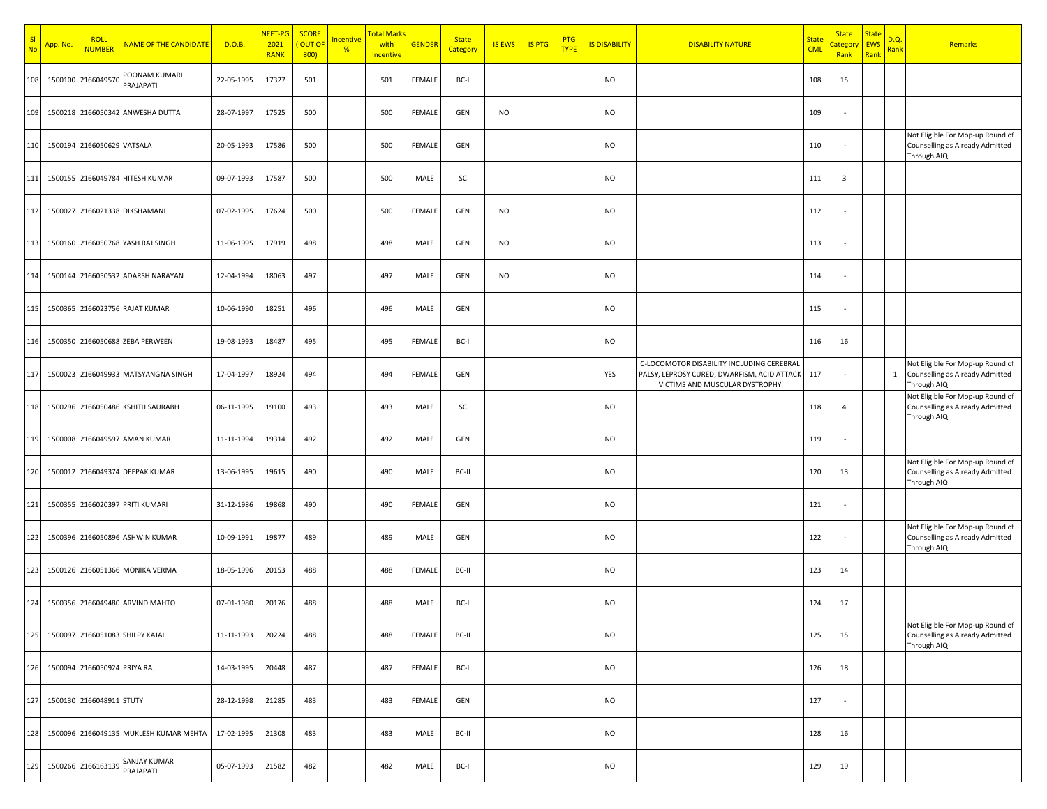| S <sub>l</sub><br><b>No</b> | App. No. | <b>ROLL</b><br><b>NUMBER</b> | NAME OF THE CANDIDATE                  | D.O.B.     | NEET-PG<br>2021<br><b>RANK</b> | <b>SCORE</b><br>OUT OI<br>800) | ncentive<br>% | <mark>Total Mark</mark><br>with<br>Incentive | <b>GENDER</b> | <b>State</b><br>Category | <b>IS EWS</b> | <b>IS PTG</b> | <b>PTG</b><br><b>TYPE</b> | <b>IS DISABILITY</b> | <b>DISABILITY NATURE</b>                                                                                                   | <mark>State</mark><br><b>CML</b> | <b>State</b><br>`ategoi<br>Rank | <b>State</b><br><b>EWS</b><br>Rank | D.Q.<br><mark>Rank</mark> | Remarks                                                                            |
|-----------------------------|----------|------------------------------|----------------------------------------|------------|--------------------------------|--------------------------------|---------------|----------------------------------------------|---------------|--------------------------|---------------|---------------|---------------------------|----------------------|----------------------------------------------------------------------------------------------------------------------------|----------------------------------|---------------------------------|------------------------------------|---------------------------|------------------------------------------------------------------------------------|
| 108                         | 1500100  | 2166049570                   | POONAM KUMARI<br>PRAJAPATI             | 22-05-1995 | 17327                          | 501                            |               | 501                                          | FEMALE        | BC-I                     |               |               |                           | <b>NO</b>            |                                                                                                                            | 108                              | 15                              |                                    |                           |                                                                                    |
| 109                         |          |                              | 1500218 2166050342 ANWESHA DUTTA       | 28-07-1997 | 17525                          | 500                            |               | 500                                          | <b>FEMALE</b> | GEN                      | <b>NO</b>     |               |                           | <b>NO</b>            |                                                                                                                            | 109                              |                                 |                                    |                           |                                                                                    |
| 110                         |          | 1500194 2166050629 VATSALA   |                                        | 20-05-1993 | 17586                          | 500                            |               | 500                                          | FEMALE        | GEN                      |               |               |                           | <b>NO</b>            |                                                                                                                            | 110                              |                                 |                                    |                           | Not Eligible For Mop-up Round of<br>Counselling as Already Admitted<br>Through AIQ |
| 111                         |          |                              | 1500155 2166049784 HITESH KUMAR        | 09-07-1993 | 17587                          | 500                            |               | 500                                          | MALE          | SC                       |               |               |                           | <b>NO</b>            |                                                                                                                            | 111                              | $\overline{\mathbf{3}}$         |                                    |                           |                                                                                    |
| 112                         | 1500027  |                              | 2166021338 DIKSHAMANI                  | 07-02-1995 | 17624                          | 500                            |               | 500                                          | <b>FEMALE</b> | GEN                      | <b>NO</b>     |               |                           | <b>NO</b>            |                                                                                                                            | 112                              |                                 |                                    |                           |                                                                                    |
| 113                         |          |                              | 1500160 2166050768 YASH RAJ SINGH      | 11-06-1995 | 17919                          | 498                            |               | 498                                          | MALE          | GEN                      | <b>NO</b>     |               |                           | <b>NO</b>            |                                                                                                                            | 113                              |                                 |                                    |                           |                                                                                    |
| 114                         |          |                              | 1500144 2166050532 ADARSH NARAYAN      | 12-04-1994 | 18063                          | 497                            |               | 497                                          | MALE          | GEN                      | <b>NO</b>     |               |                           | <b>NO</b>            |                                                                                                                            | 114                              |                                 |                                    |                           |                                                                                    |
| 115                         |          |                              | 1500365 2166023756 RAJAT KUMAR         | 10-06-1990 | 18251                          | 496                            |               | 496                                          | MALE          | GEN                      |               |               |                           | <b>NO</b>            |                                                                                                                            | 115                              |                                 |                                    |                           |                                                                                    |
| 116                         |          |                              | 1500350 2166050688 ZEBA PERWEEN        | 19-08-1993 | 18487                          | 495                            |               | 495                                          | FEMALE        | BC-I                     |               |               |                           | <b>NO</b>            |                                                                                                                            | 116                              | 16                              |                                    |                           |                                                                                    |
| 117                         |          |                              | 1500023 2166049933 MATSYANGNA SINGH    | 17-04-1997 | 18924                          | 494                            |               | 494                                          | FEMALE        | GEN                      |               |               |                           | YES                  | C-LOCOMOTOR DISABILITY INCLUDING CEREBRAL<br>PALSY, LEPROSY CURED, DWARFISM, ACID ATTACK<br>VICTIMS AND MUSCULAR DYSTROPHY | 117                              | $\overline{\phantom{a}}$        |                                    | 1                         | Not Eligible For Mop-up Round of<br>Counselling as Already Admitted<br>Through AIQ |
| 118                         |          |                              | 1500296 2166050486 KSHITIJ SAURABH     | 06-11-1995 | 19100                          | 493                            |               | 493                                          | MALE          | SC                       |               |               |                           | <b>NO</b>            |                                                                                                                            | 118                              | $\overline{4}$                  |                                    |                           | Not Eligible For Mop-up Round of<br>Counselling as Already Admitted<br>Through AIQ |
| 119                         |          |                              | 1500008 2166049597 AMAN KUMAR          | 11-11-1994 | 19314                          | 492                            |               | 492                                          | MALE          | GEN                      |               |               |                           | <b>NO</b>            |                                                                                                                            | 119                              |                                 |                                    |                           |                                                                                    |
| 120                         | 1500012  |                              | 2166049374 DEEPAK KUMAR                | 13-06-1995 | 19615                          | 490                            |               | 490                                          | MALE          | BC-II                    |               |               |                           | <b>NO</b>            |                                                                                                                            | 120                              | 13                              |                                    |                           | Not Eligible For Mop-up Round of<br>Counselling as Already Admitted<br>Through AIQ |
| 121                         |          |                              | 1500355 2166020397 PRITI KUMARI        | 31-12-1986 | 19868                          | 490                            |               | 490                                          | <b>FEMALE</b> | GEN                      |               |               |                           | <b>NO</b>            |                                                                                                                            | 121                              |                                 |                                    |                           |                                                                                    |
| 122                         |          |                              | 1500396 2166050896 ASHWIN KUMAR        | 10-09-1991 | 19877                          | 489                            |               | 489                                          | MALE          | GEN                      |               |               |                           | <b>NO</b>            |                                                                                                                            | 122                              |                                 |                                    |                           | Not Eligible For Mop-up Round of<br>Counselling as Already Admitted<br>Through AIQ |
| 123                         |          |                              | 1500126 2166051366 MONIKA VERMA        | 18-05-1996 | 20153                          | 488                            |               | 488                                          | <b>FEMALE</b> | BC-II                    |               |               |                           | <b>NO</b>            |                                                                                                                            | 123                              | 14                              |                                    |                           |                                                                                    |
| 124                         |          |                              | 1500356 2166049480 ARVIND MAHTO        | 07-01-1980 | 20176                          | 488                            |               | 488                                          | MALE          | BC-I                     |               |               |                           | <b>NO</b>            |                                                                                                                            | 124                              | 17                              |                                    |                           |                                                                                    |
| 125                         |          |                              | 1500097 2166051083 SHILPY KAJAL        | 11-11-1993 | 20224                          | 488                            |               | 488                                          | FEMALE        | BC-II                    |               |               |                           | <b>NO</b>            |                                                                                                                            | 125                              | 15                              |                                    |                           | Not Eligible For Mop-up Round of<br>Counselling as Already Admitted<br>Through AIQ |
| 126                         |          | 1500094 2166050924 PRIYA RAJ |                                        | 14-03-1995 | 20448                          | 487                            |               | 487                                          | FEMALE        | BC-I                     |               |               |                           | <b>NO</b>            |                                                                                                                            | 126                              | 18                              |                                    |                           |                                                                                    |
| 127                         |          | 1500130 2166048911 STUTY     |                                        | 28-12-1998 | 21285                          | 483                            |               | 483                                          | FEMALE        | GEN                      |               |               |                           | <b>NO</b>            |                                                                                                                            | 127                              |                                 |                                    |                           |                                                                                    |
| 128                         |          |                              | 1500096 2166049135 MUKLESH KUMAR MEHTA | 17-02-1995 | 21308                          | 483                            |               | 483                                          | MALE          | BC-II                    |               |               |                           | <b>NO</b>            |                                                                                                                            | 128                              | 16                              |                                    |                           |                                                                                    |
| 129                         |          | 1500266 2166163139           | SANJAY KUMAR<br>PRAJAPATI              | 05-07-1993 | 21582                          | 482                            |               | 482                                          | MALE          | BC-I                     |               |               |                           | <b>NO</b>            |                                                                                                                            | 129                              | 19                              |                                    |                           |                                                                                    |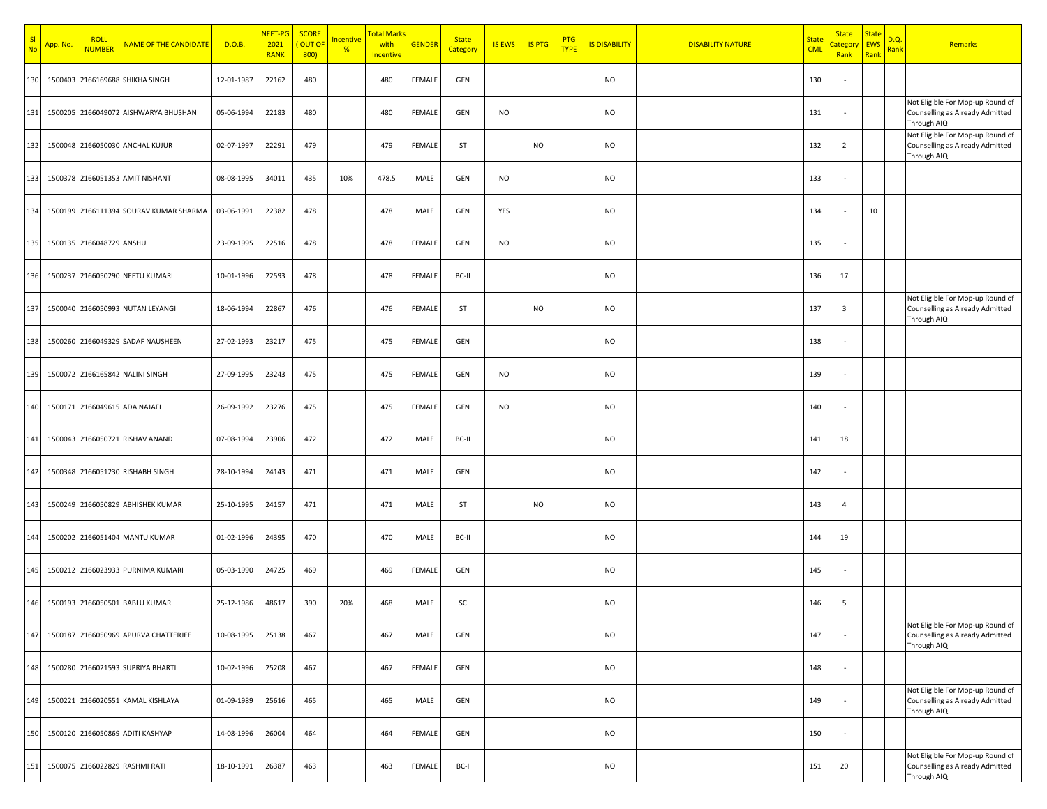| N <sub>c</sub> | App. No. | <b>ROLL</b><br><b>NUMBER</b>  | NAME OF THE CANDIDATE                  | D.O.B.     | NEET-PG<br>2021<br><b>RANK</b> | <b>SCORE</b><br>OUT OF<br>800) | <mark>Incentive</mark><br>% | <b>Total Marks</b><br>with<br>Incentive | <b>GENDER</b> | <b>State</b><br>Category | <b>IS EWS</b> | <b>IS PTG</b> | <b>PTG</b><br><b>TYPE</b> | <b>IS DISABILITY</b> | <b>DISABILITY NATURE</b> | <mark>State</mark><br><b>CML</b> | <b>State</b><br><mark>Category</mark><br>Rank | <b>State</b><br><b>EWS</b><br>Rank | D.Q.<br><mark>Rank</mark> | Remarks                                                                            |
|----------------|----------|-------------------------------|----------------------------------------|------------|--------------------------------|--------------------------------|-----------------------------|-----------------------------------------|---------------|--------------------------|---------------|---------------|---------------------------|----------------------|--------------------------|----------------------------------|-----------------------------------------------|------------------------------------|---------------------------|------------------------------------------------------------------------------------|
| 130            |          |                               | 1500403 2166169688 SHIKHA SINGH        | 12-01-1987 | 22162                          | 480                            |                             | 480                                     | <b>FEMALE</b> | GEN                      |               |               |                           | <b>NO</b>            |                          | 130                              |                                               |                                    |                           |                                                                                    |
| 131            |          |                               | 1500205 2166049072 AISHWARYA BHUSHAN   | 05-06-1994 | 22183                          | 480                            |                             | 480                                     | <b>FEMALE</b> | GEN                      | <b>NO</b>     |               |                           | <b>NO</b>            |                          | 131                              |                                               |                                    |                           | Not Eligible For Mop-up Round of<br>Counselling as Already Admitted<br>Through AIQ |
| 132            |          |                               | 1500048 2166050030 ANCHAL KUJUR        | 02-07-1997 | 22291                          | 479                            |                             | 479                                     | FEMALE        | ST                       |               | <b>NO</b>     |                           | <b>NO</b>            |                          | 132                              | $\overline{2}$                                |                                    |                           | Not Eligible For Mop-up Round of<br>Counselling as Already Admitted<br>Through AIQ |
| 133            |          |                               | 1500378 2166051353 AMIT NISHANT        | 08-08-1995 | 34011                          | 435                            | 10%                         | 478.5                                   | MALE          | GEN                      | <b>NO</b>     |               |                           | <b>NO</b>            |                          | 133                              |                                               |                                    |                           |                                                                                    |
| 134            |          |                               | 1500199 2166111394 SOURAV KUMAR SHARMA | 03-06-1991 | 22382                          | 478                            |                             | 478                                     | MALE          | GEN                      | YES           |               |                           | <b>NO</b>            |                          | 134                              |                                               | 10                                 |                           |                                                                                    |
| 135            |          | 1500135 2166048729 ANSHU      |                                        | 23-09-1995 | 22516                          | 478                            |                             | 478                                     | <b>FEMALE</b> | GEN                      | <b>NO</b>     |               |                           | <b>NO</b>            |                          | 135                              |                                               |                                    |                           |                                                                                    |
| 136            |          |                               | 1500237 2166050290 NEETU KUMARI        | 10-01-1996 | 22593                          | 478                            |                             | 478                                     | <b>FEMALE</b> | BC-II                    |               |               |                           | <b>NO</b>            |                          | 136                              | 17                                            |                                    |                           |                                                                                    |
| 137            |          |                               | 1500040 2166050993 NUTAN LEYANGI       | 18-06-1994 | 22867                          | 476                            |                             | 476                                     | <b>FEMALE</b> | ST                       |               | <b>NO</b>     |                           | <b>NO</b>            |                          | 137                              | $\overline{\mathbf{3}}$                       |                                    |                           | Not Eligible For Mop-up Round of<br>Counselling as Already Admitted<br>Through AIQ |
| 138            |          |                               | 1500260 2166049329 SADAF NAUSHEEN      | 27-02-1993 | 23217                          | 475                            |                             | 475                                     | <b>FEMALE</b> | GEN                      |               |               |                           | <b>NO</b>            |                          | 138                              |                                               |                                    |                           |                                                                                    |
| 139            |          |                               | 1500072 2166165842 NALINI SINGH        | 27-09-1995 | 23243                          | 475                            |                             | 475                                     | <b>FEMALE</b> | GEN                      | <b>NO</b>     |               |                           | <b>NO</b>            |                          | 139                              |                                               |                                    |                           |                                                                                    |
| 140            |          | 1500171 2166049615 ADA NAJAFI |                                        | 26-09-1992 | 23276                          | 475                            |                             | 475                                     | FEMALE        | GEN                      | <b>NO</b>     |               |                           | <b>NO</b>            |                          | 140                              |                                               |                                    |                           |                                                                                    |
| 141            |          |                               | 1500043 2166050721 RISHAV ANAND        | 07-08-1994 | 23906                          | 472                            |                             | 472                                     | MALE          | BC-II                    |               |               |                           | <b>NO</b>            |                          | 141                              | 18                                            |                                    |                           |                                                                                    |
| 142            |          |                               | 1500348 2166051230 RISHABH SINGH       | 28-10-1994 | 24143                          | 471                            |                             | 471                                     | MALE          | GEN                      |               |               |                           | <b>NO</b>            |                          | 142                              |                                               |                                    |                           |                                                                                    |
| 143            |          |                               | 1500249 2166050829 ABHISHEK KUMAR      | 25-10-1995 | 24157                          | 471                            |                             | 471                                     | MALE          | ST                       |               | <b>NO</b>     |                           | <b>NO</b>            |                          | 143                              | $\overline{4}$                                |                                    |                           |                                                                                    |
| 144            |          |                               | 1500202 2166051404 MANTU KUMAR         | 01-02-1996 | 24395                          | 470                            |                             | 470                                     | MALE          | BC-II                    |               |               |                           | <b>NO</b>            |                          | 144                              | 19                                            |                                    |                           |                                                                                    |
| 145            |          |                               | 1500212 2166023933 PURNIMA KUMARI      | 05-03-1990 | 24725                          | 469                            |                             | 469                                     | <b>FEMALE</b> | GEN                      |               |               |                           | <b>NO</b>            |                          | 145                              |                                               |                                    |                           |                                                                                    |
| 146            |          |                               | 1500193 2166050501 BABLU KUMAR         | 25-12-1986 | 48617                          | 390                            | 20%                         | 468                                     | MALE          | SC                       |               |               |                           | <b>NO</b>            |                          | 146                              | 5                                             |                                    |                           |                                                                                    |
| 147            |          |                               | 1500187 2166050969 APURVA CHATTERJEE   | 10-08-1995 | 25138                          | 467                            |                             | 467                                     | MALE          | GEN                      |               |               |                           | <b>NO</b>            |                          | 147                              |                                               |                                    |                           | Not Eligible For Mop-up Round of<br>Counselling as Already Admitted<br>Through AIQ |
| 148            |          |                               | 1500280 2166021593 SUPRIYA BHARTI      | 10-02-1996 | 25208                          | 467                            |                             | 467                                     | <b>FEMALE</b> | GEN                      |               |               |                           | <b>NO</b>            |                          | 148                              | $\sim$                                        |                                    |                           |                                                                                    |
| 149            |          |                               | 1500221 2166020551 KAMAL KISHLAYA      | 01-09-1989 | 25616                          | 465                            |                             | 465                                     | MALE          | GEN                      |               |               |                           | <b>NO</b>            |                          | 149                              |                                               |                                    |                           | Not Eligible For Mop-up Round of<br>Counselling as Already Admitted<br>Through AIQ |
| 150            |          |                               | 1500120 2166050869 ADITI KASHYAP       | 14-08-1996 | 26004                          | 464                            |                             | 464                                     | FEMALE        | GEN                      |               |               |                           | <b>NO</b>            |                          | 150                              |                                               |                                    |                           |                                                                                    |
| 151            |          |                               | 1500075 2166022829 RASHMI RATI         | 18-10-1991 | 26387                          | 463                            |                             | 463                                     | FEMALE        | BC-I                     |               |               |                           | <b>NO</b>            |                          | 151                              | 20                                            |                                    |                           | Not Eligible For Mop-up Round of<br>Counselling as Already Admitted<br>Through AIQ |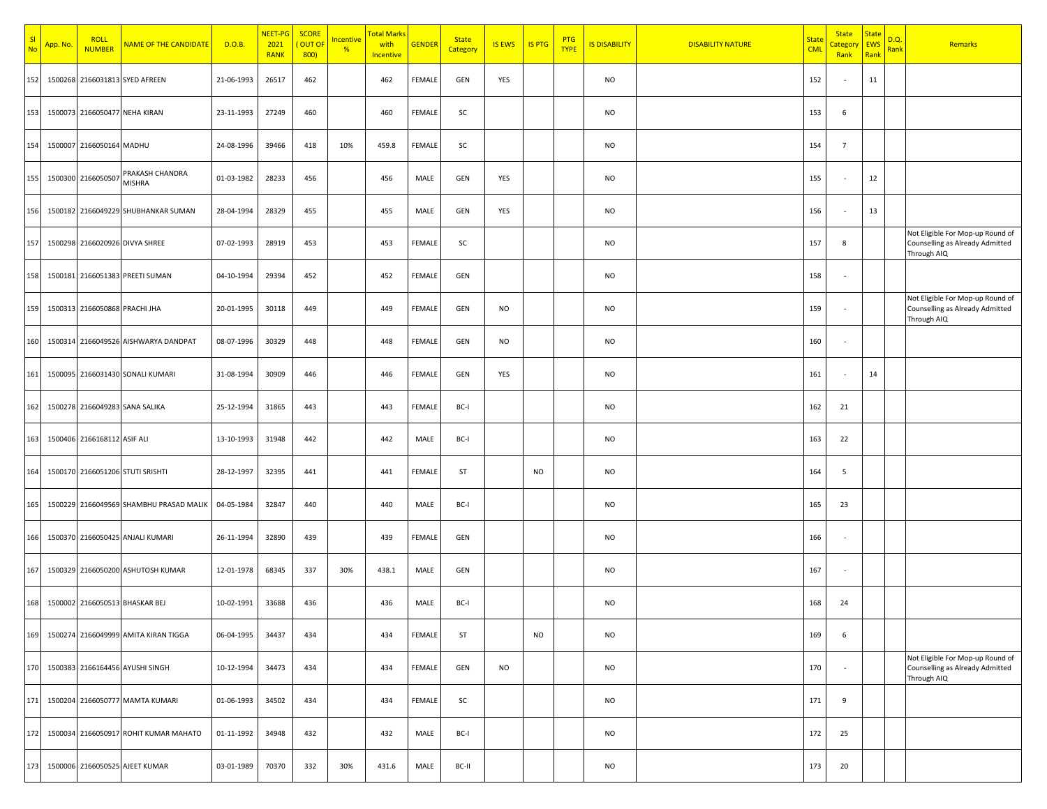| <b>No</b> | App. No. | <b>ROLL</b><br><b>NUMBER</b>  | NAME OF THE CANDIDATE                   | D.O.B.     | NEET-PG<br>2021<br><b>RANK</b> | <b>SCORE</b><br>OUT OF<br>800) | <mark>Incentive</mark><br>$\frac{96}{6}$ | Total Marks<br>with<br>Incentive | <b>GENDER</b> | <b>State</b><br>Category | <b>IS EWS</b> | <b>IS PTG</b> | <b>PTG</b><br><b>TYPE</b> | <b>IS DISABILITY</b> | <b>DISABILITY NATURE</b> | <u>State</u><br><b>CML</b> | <b>State</b><br><u>Sategor</u><br>Rank | <b>State</b><br>EWS<br>Rank | D.Q.<br><mark>Rank</mark> | Remarks                                                                            |
|-----------|----------|-------------------------------|-----------------------------------------|------------|--------------------------------|--------------------------------|------------------------------------------|----------------------------------|---------------|--------------------------|---------------|---------------|---------------------------|----------------------|--------------------------|----------------------------|----------------------------------------|-----------------------------|---------------------------|------------------------------------------------------------------------------------|
| 152       |          |                               | 1500268 2166031813 SYED AFREEN          | 21-06-1993 | 26517                          | 462                            |                                          | 462                              | FEMALE        | GEN                      | YES           |               |                           | <b>NO</b>            |                          | 152                        |                                        | 11                          |                           |                                                                                    |
| 153       |          | 1500073 2166050477 NEHA KIRAN |                                         | 23-11-1993 | 27249                          | 460                            |                                          | 460                              | FEMALE        | SC                       |               |               |                           | <b>NO</b>            |                          | 153                        | 6                                      |                             |                           |                                                                                    |
| 154       |          | 1500007 2166050164 MADHU      |                                         | 24-08-1996 | 39466                          | 418                            | 10%                                      | 459.8                            | FEMALE        | SC                       |               |               |                           | <b>NO</b>            |                          | 154                        | $\overline{7}$                         |                             |                           |                                                                                    |
| 155       |          | 1500300 2166050507            | PRAKASH CHANDRA<br><b>MISHRA</b>        | 01-03-1982 | 28233                          | 456                            |                                          | 456                              | MALE          | GEN                      | YES           |               |                           | <b>NO</b>            |                          | 155                        |                                        | $12\,$                      |                           |                                                                                    |
| 156       |          |                               | 1500182 2166049229 SHUBHANKAR SUMAN     | 28-04-1994 | 28329                          | 455                            |                                          | 455                              | MALE          | GEN                      | YES           |               |                           | <b>NO</b>            |                          | 156                        |                                        | 13                          |                           |                                                                                    |
| 157       |          |                               | 1500298 2166020926 DIVYA SHREE          | 07-02-1993 | 28919                          | 453                            |                                          | 453                              | FEMALE        | SC                       |               |               |                           | <b>NO</b>            |                          | 157                        | 8                                      |                             |                           | Not Eligible For Mop-up Round of<br>Counselling as Already Admitted<br>Through AIQ |
| 158       |          |                               | 1500181 2166051383 PREETI SUMAN         | 04-10-1994 | 29394                          | 452                            |                                          | 452                              | FEMALE        | GEN                      |               |               |                           | <b>NO</b>            |                          | 158                        |                                        |                             |                           |                                                                                    |
| 159       |          | 1500313 2166050868 PRACHI JHA |                                         | 20-01-1995 | 30118                          | 449                            |                                          | 449                              | FEMALE        | GEN                      | <b>NO</b>     |               |                           | <b>NO</b>            |                          | 159                        |                                        |                             |                           | Not Eligible For Mop-up Round of<br>Counselling as Already Admitted<br>Through AIQ |
| 160       |          |                               | 1500314 2166049526 AISHWARYA DANDPAT    | 08-07-1996 | 30329                          | 448                            |                                          | 448                              | FEMALE        | GEN                      | <b>NO</b>     |               |                           | <b>NO</b>            |                          | 160                        |                                        |                             |                           |                                                                                    |
| 161       |          |                               | 1500095 2166031430 SONALI KUMARI        | 31-08-1994 | 30909                          | 446                            |                                          | 446                              | FEMALE        | GEN                      | YES           |               |                           | <b>NO</b>            |                          | 161                        | ٠.                                     | 14                          |                           |                                                                                    |
| 162       |          |                               | 1500278 2166049283 SANA SALIKA          | 25-12-1994 | 31865                          | 443                            |                                          | 443                              | FEMALE        | BC-I                     |               |               |                           | <b>NO</b>            |                          | 162                        | 21                                     |                             |                           |                                                                                    |
| 163       |          | 1500406 2166168112 ASIF ALI   |                                         | 13-10-1993 | 31948                          | 442                            |                                          | 442                              | MALE          | BC-I                     |               |               |                           | <b>NO</b>            |                          | 163                        | 22                                     |                             |                           |                                                                                    |
| 164       |          |                               | 1500170 2166051206 STUTI SRISHTI        | 28-12-1997 | 32395                          | 441                            |                                          | 441                              | FEMALE        | ST                       |               | <b>NO</b>     |                           | <b>NO</b>            |                          | 164                        | 5                                      |                             |                           |                                                                                    |
| 165       |          |                               | 1500229 2166049569 SHAMBHU PRASAD MALIK | 04-05-1984 | 32847                          | 440                            |                                          | 440                              | MALE          | BC-I                     |               |               |                           | <b>NO</b>            |                          | 165                        | 23                                     |                             |                           |                                                                                    |
| 166       |          |                               | 1500370 2166050425 ANJALI KUMARI        | 26-11-1994 | 32890                          | 439                            |                                          | 439                              | FEMALE        | GEN                      |               |               |                           | <b>NO</b>            |                          | 166                        | ×                                      |                             |                           |                                                                                    |
| 167       |          |                               | 1500329 2166050200 ASHUTOSH KUMAR       | 12-01-1978 | 68345                          | 337                            | 30%                                      | 438.1                            | MALE          | GEN                      |               |               |                           | <b>NO</b>            |                          | 167                        |                                        |                             |                           |                                                                                    |
| 168       |          |                               | 1500002 2166050513 BHASKAR BEJ          | 10-02-1991 | 33688                          | 436                            |                                          | 436                              | MALE          | BC-I                     |               |               |                           | <b>NO</b>            |                          | 168                        | 24                                     |                             |                           |                                                                                    |
| 169       |          |                               | 1500274 2166049999 AMITA KIRAN TIGGA    | 06-04-1995 | 34437                          | 434                            |                                          | 434                              | FEMALE        | ST                       |               | <b>NO</b>     |                           | <b>NO</b>            |                          | 169                        | 6                                      |                             |                           |                                                                                    |
| 170       |          |                               | 1500383 2166164456 AYUSHI SINGH         | 10-12-1994 | 34473                          | 434                            |                                          | 434                              | FEMALE        | GEN                      | <b>NO</b>     |               |                           | <b>NO</b>            |                          | 170                        | $\overline{\phantom{a}}$               |                             |                           | Not Eligible For Mop-up Round of<br>Counselling as Already Admitted<br>Through AIQ |
| 171       |          |                               | 1500204 2166050777 MAMTA KUMARI         | 01-06-1993 | 34502                          | 434                            |                                          | 434                              | FEMALE        | SC                       |               |               |                           | <b>NO</b>            |                          | 171                        | 9                                      |                             |                           |                                                                                    |
| 172       |          |                               | 1500034 2166050917 ROHIT KUMAR MAHATO   | 01-11-1992 | 34948                          | 432                            |                                          | 432                              | MALE          | BC-I                     |               |               |                           | <b>NO</b>            |                          | 172                        | 25                                     |                             |                           |                                                                                    |
| 173       |          |                               | 1500006 2166050525 AJEET KUMAR          | 03-01-1989 | 70370                          | 332                            | 30%                                      | 431.6                            | MALE          | BC-II                    |               |               |                           | <b>NO</b>            |                          | 173                        | 20                                     |                             |                           |                                                                                    |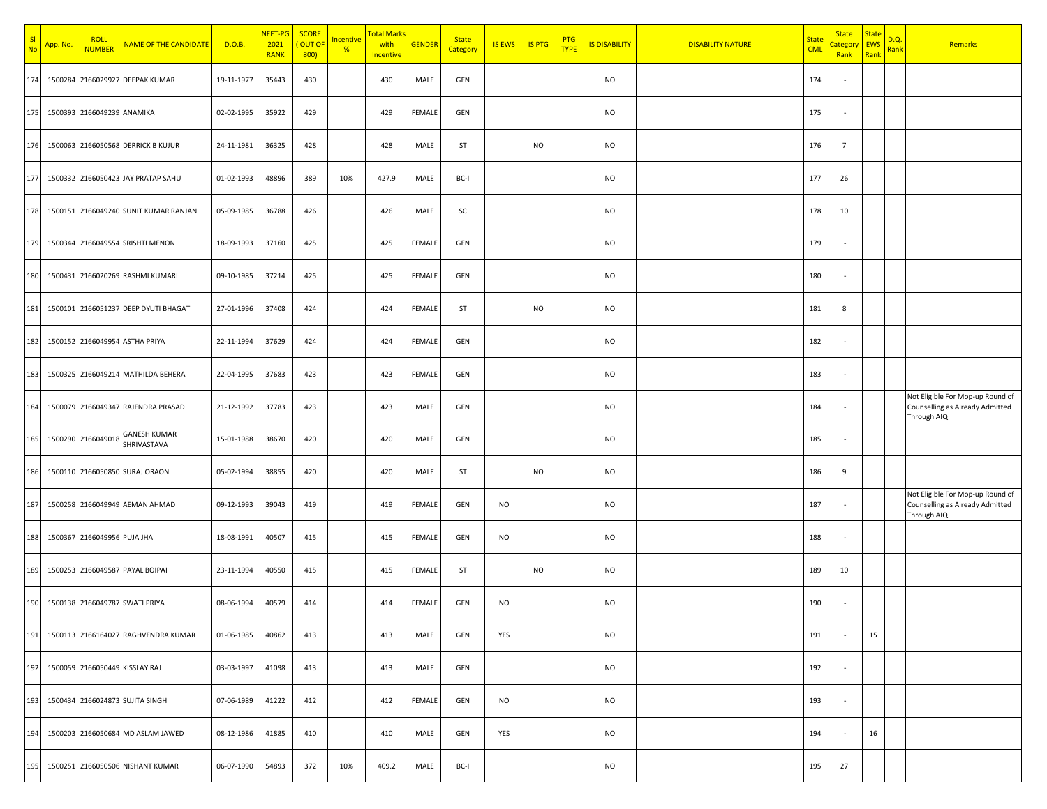| -SI<br>N <sub>0</sub> | <mark>App. No.</mark> | <b>ROLL</b><br><b>NUMBER</b>   | NAME OF THE CANDIDATE                 | D.O.B.     | NEET-PG<br>2021<br><b>RANK</b> | <b>SCORE</b><br>OUT OI<br>800) | <b>Incentive</b><br>$\frac{96}{6}$ | <mark>Total Mark</mark><br>with<br>Incentive | <b>GENDER</b> | <b>State</b><br>Category | <b>IS EWS</b> | <b>IS PTG</b> | <b>PTG</b><br><b>TYPE</b> | <b>IS DISABILITY</b> | <b>DISABILITY NATURE</b> | <u>State</u><br><b>CML</b> | <b>State</b><br>categor<br>Rank | <b>State</b><br><b>EWS</b><br>Rank | D.Q.<br><mark>Rank</mark> | Remarks                                                                            |
|-----------------------|-----------------------|--------------------------------|---------------------------------------|------------|--------------------------------|--------------------------------|------------------------------------|----------------------------------------------|---------------|--------------------------|---------------|---------------|---------------------------|----------------------|--------------------------|----------------------------|---------------------------------|------------------------------------|---------------------------|------------------------------------------------------------------------------------|
| 174                   |                       |                                | 1500284 2166029927 DEEPAK KUMAR       | 19-11-1977 | 35443                          | 430                            |                                    | 430                                          | MALE          | GEN                      |               |               |                           | <b>NO</b>            |                          | 174                        |                                 |                                    |                           |                                                                                    |
| 175                   |                       | 1500393 2166049239 ANAMIKA     |                                       | 02-02-1995 | 35922                          | 429                            |                                    | 429                                          | FEMALE        | GEN                      |               |               |                           | <b>NO</b>            |                          | 175                        | ٠                               |                                    |                           |                                                                                    |
| 176                   |                       |                                | 1500063 2166050568 DERRICK B KUJUR    | 24-11-1981 | 36325                          | 428                            |                                    | 428                                          | MALE          | ST                       |               | <b>NO</b>     |                           | <b>NO</b>            |                          | 176                        | $\overline{7}$                  |                                    |                           |                                                                                    |
| 177                   |                       |                                | 1500332 2166050423 JAY PRATAP SAHU    | 01-02-1993 | 48896                          | 389                            | 10%                                | 427.9                                        | MALE          | BC-I                     |               |               |                           | <b>NO</b>            |                          | 177                        | 26                              |                                    |                           |                                                                                    |
| 178                   |                       |                                | 1500151 2166049240 SUNIT KUMAR RANJAN | 05-09-1985 | 36788                          | 426                            |                                    | 426                                          | MALE          | SC                       |               |               |                           | <b>NO</b>            |                          | 178                        | 10                              |                                    |                           |                                                                                    |
| 179                   |                       |                                | 1500344 2166049554 SRISHTI MENON      | 18-09-1993 | 37160                          | 425                            |                                    | 425                                          | FEMALE        | GEN                      |               |               |                           | <b>NO</b>            |                          | 179                        | $\overline{\phantom{a}}$        |                                    |                           |                                                                                    |
| 180                   |                       |                                | 1500431 2166020269 RASHMI KUMARI      | 09-10-1985 | 37214                          | 425                            |                                    | 425                                          | FEMALE        | GEN                      |               |               |                           | <b>NO</b>            |                          | 180                        |                                 |                                    |                           |                                                                                    |
| 181                   |                       |                                | 1500101 2166051237 DEEP DYUTI BHAGAT  | 27-01-1996 | 37408                          | 424                            |                                    | 424                                          | FEMALE        | ST                       |               | <b>NO</b>     |                           | <b>NO</b>            |                          | 181                        | 8                               |                                    |                           |                                                                                    |
| 182                   |                       |                                | 1500152 2166049954 ASTHA PRIYA        | 22-11-1994 | 37629                          | 424                            |                                    | 424                                          | FEMALE        | GEN                      |               |               |                           | <b>NO</b>            |                          | 182                        |                                 |                                    |                           |                                                                                    |
| 183                   |                       |                                | 1500325 2166049214 MATHILDA BEHERA    | 22-04-1995 | 37683                          | 423                            |                                    | 423                                          | FEMALE        | GEN                      |               |               |                           | <b>NO</b>            |                          | 183                        | $\overline{\phantom{a}}$        |                                    |                           |                                                                                    |
| 184                   |                       |                                | 1500079 2166049347 RAJENDRA PRASAD    | 21-12-1992 | 37783                          | 423                            |                                    | 423                                          | MALE          | GEN                      |               |               |                           | <b>NO</b>            |                          | 184                        |                                 |                                    |                           | Not Eligible For Mop-up Round of<br>Counselling as Already Admitted<br>Through AIQ |
| 185                   |                       | 1500290 2166049018             | <b>GANESH KUMAR</b><br>SHRIVASTAVA    | 15-01-1988 | 38670                          | 420                            |                                    | 420                                          | MALE          | GEN                      |               |               |                           | <b>NO</b>            |                          | 185                        |                                 |                                    |                           |                                                                                    |
| 186                   |                       |                                | 1500110 2166050850 SURAJ ORAON        | 05-02-1994 | 38855                          | 420                            |                                    | 420                                          | MALE          | ST                       |               | <b>NO</b>     |                           | <b>NO</b>            |                          | 186                        | 9                               |                                    |                           |                                                                                    |
| 187                   |                       |                                | 1500258 2166049949 AEMAN AHMAD        | 09-12-1993 | 39043                          | 419                            |                                    | 419                                          | FEMALE        | GEN                      | <b>NO</b>     |               |                           | <b>NO</b>            |                          | 187                        |                                 |                                    |                           | Not Eligible For Mop-up Round of<br>Counselling as Already Admitted<br>Through AIQ |
| 188                   |                       | 1500367 2166049956 PUJA JHA    |                                       | 18-08-1991 | 40507                          | 415                            |                                    | 415                                          | FEMALE        | GEN                      | <b>NO</b>     |               |                           | <b>NO</b>            |                          | 188                        |                                 |                                    |                           |                                                                                    |
| 189                   |                       |                                | 1500253 2166049587 PAYAL BOIPAI       | 23-11-1994 | 40550                          | 415                            |                                    | 415                                          | FEMALE        | ST                       |               | <b>NO</b>     |                           | <b>NO</b>            |                          | 189                        | 10                              |                                    |                           |                                                                                    |
| 190                   |                       |                                | 1500138 2166049787 SWATI PRIYA        | 08-06-1994 | 40579                          | 414                            |                                    | 414                                          | FEMALE        | GEN                      | NO            |               |                           | <b>NO</b>            |                          | 190                        |                                 |                                    |                           |                                                                                    |
| 191                   |                       |                                | 1500113 2166164027 RAGHVENDRA KUMAR   | 01-06-1985 | 40862                          | 413                            |                                    | 413                                          | MALE          | GEN                      | YES           |               |                           | <b>NO</b>            |                          | 191                        | $\sim$                          | 15                                 |                           |                                                                                    |
| 192                   |                       | 1500059 2166050449 KISSLAY RAJ |                                       | 03-03-1997 | 41098                          | 413                            |                                    | 413                                          | MALE          | GEN                      |               |               |                           | <b>NO</b>            |                          | 192                        | $\overline{\phantom{a}}$        |                                    |                           |                                                                                    |
| 193                   |                       |                                | 1500434 2166024873 SUJITA SINGH       | 07-06-1989 | 41222                          | 412                            |                                    | 412                                          | FEMALE        | GEN                      | <b>NO</b>     |               |                           | <b>NO</b>            |                          | 193                        | $\overline{\phantom{a}}$        |                                    |                           |                                                                                    |
| 194                   |                       |                                | 1500203 2166050684 MD ASLAM JAWED     | 08-12-1986 | 41885                          | 410                            |                                    | 410                                          | MALE          | GEN                      | YES           |               |                           | <b>NO</b>            |                          | 194                        |                                 | 16                                 |                           |                                                                                    |
| 195                   |                       |                                | 1500251 2166050506 NISHANT KUMAR      | 06-07-1990 | 54893                          | 372                            | 10%                                | 409.2                                        | MALE          | BC-I                     |               |               |                           | <b>NO</b>            |                          | 195                        | 27                              |                                    |                           |                                                                                    |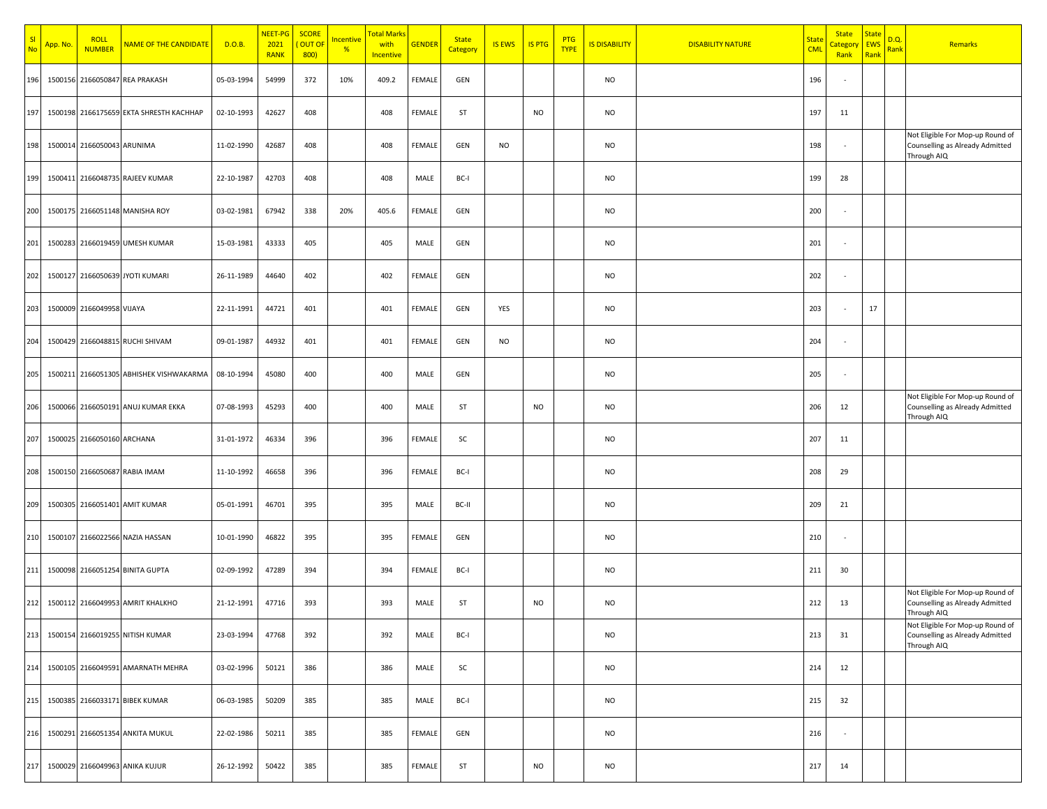| SI<br>No | App. No. | <b>ROLL</b><br><b>NUMBER</b> | <b>NAME OF THE CANDIDATE</b>            | D.O.B.     | NEET-PG<br>2021<br><b>RANK</b> | <b>SCORE</b><br>OUT OF<br>800) | <mark>Incentive</mark><br>% | <mark>Total Marks</mark><br>with<br>Incentive | <b>GENDER</b> | <b>State</b><br>Category | <b>IS EWS</b> | <b>IS PTG</b> | <b>PTG</b><br><b>TYPE</b> | <b>IS DISABILITY</b> | <b>DISABILITY NATURE</b> | <b>State</b><br><b>CML</b> | <b>State</b><br><mark>`ategor</mark><br>Rank | <b>State</b><br>EWS<br>Rank | D.Q.<br>Rank | Remarks                                                                            |
|----------|----------|------------------------------|-----------------------------------------|------------|--------------------------------|--------------------------------|-----------------------------|-----------------------------------------------|---------------|--------------------------|---------------|---------------|---------------------------|----------------------|--------------------------|----------------------------|----------------------------------------------|-----------------------------|--------------|------------------------------------------------------------------------------------|
| 196      |          |                              | 1500156 2166050847 REA PRAKASH          | 05-03-1994 | 54999                          | 372                            | 10%                         | 409.2                                         | FEMALE        | GEN                      |               |               |                           | <b>NO</b>            |                          | 196                        |                                              |                             |              |                                                                                    |
| 197      |          |                              | 1500198 2166175659 EKTA SHRESTH KACHHAP | 02-10-1993 | 42627                          | 408                            |                             | 408                                           | <b>FEMALE</b> | ST                       |               | <b>NO</b>     |                           | <b>NO</b>            |                          | 197                        | 11                                           |                             |              |                                                                                    |
| 198      |          | 1500014 2166050043 ARUNIMA   |                                         | 11-02-1990 | 42687                          | 408                            |                             | 408                                           | <b>FEMALE</b> | GEN                      | <b>NO</b>     |               |                           | <b>NO</b>            |                          | 198                        | $\overline{\phantom{a}}$                     |                             |              | Not Eligible For Mop-up Round of<br>Counselling as Already Admitted<br>Through AIQ |
| 199      |          |                              | 1500411 2166048735 RAJEEV KUMAR         | 22-10-1987 | 42703                          | 408                            |                             | 408                                           | MALE          | BC-I                     |               |               |                           | <b>NO</b>            |                          | 199                        | 28                                           |                             |              |                                                                                    |
| 200      |          |                              | 1500175 2166051148 MANISHA ROY          | 03-02-1981 | 67942                          | 338                            | 20%                         | 405.6                                         | FEMALE        | GEN                      |               |               |                           | <b>NO</b>            |                          | 200                        |                                              |                             |              |                                                                                    |
| 201      |          |                              | 1500283 2166019459 UMESH KUMAR          | 15-03-1981 | 43333                          | 405                            |                             | 405                                           | MALE          | GEN                      |               |               |                           | <b>NO</b>            |                          | 201                        |                                              |                             |              |                                                                                    |
| 202      |          |                              | 1500127 2166050639 JYOTI KUMARI         | 26-11-1989 | 44640                          | 402                            |                             | 402                                           | FEMALE        | GEN                      |               |               |                           | <b>NO</b>            |                          | 202                        | $\overline{\phantom{a}}$                     |                             |              |                                                                                    |
| 203      |          | 1500009 2166049958 VIJAYA    |                                         | 22-11-1991 | 44721                          | 401                            |                             | 401                                           | FEMALE        | GEN                      | YES           |               |                           | <b>NO</b>            |                          | 203                        |                                              | 17                          |              |                                                                                    |
| 204      |          |                              | 1500429 2166048815 RUCHI SHIVAM         | 09-01-1987 | 44932                          | 401                            |                             | 401                                           | FEMALE        | GEN                      | NO            |               |                           | <b>NO</b>            |                          | 204                        |                                              |                             |              |                                                                                    |
| 205      |          |                              | 1500211 2166051305 ABHISHEK VISHWAKARMA | 08-10-1994 | 45080                          | 400                            |                             | 400                                           | MALE          | GEN                      |               |               |                           | <b>NO</b>            |                          | 205                        |                                              |                             |              |                                                                                    |
| 206      |          |                              | 1500066 2166050191 ANUJ KUMAR EKKA      | 07-08-1993 | 45293                          | 400                            |                             | 400                                           | MALE          | ST                       |               | <b>NO</b>     |                           | <b>NO</b>            |                          | 206                        | 12                                           |                             |              | Not Eligible For Mop-up Round of<br>Counselling as Already Admitted<br>Through AIQ |
| 207      |          | 1500025 2166050160 ARCHANA   |                                         | 31-01-1972 | 46334                          | 396                            |                             | 396                                           | FEMALE        | SC                       |               |               |                           | <b>NO</b>            |                          | 207                        | 11                                           |                             |              |                                                                                    |
| 208      |          |                              | 1500150 2166050687 RABIA IMAM           | 11-10-1992 | 46658                          | 396                            |                             | 396                                           | <b>FEMALE</b> | BC-I                     |               |               |                           | <b>NO</b>            |                          | 208                        | 29                                           |                             |              |                                                                                    |
| 209      |          |                              | 1500305 2166051401 AMIT KUMAR           | 05-01-1991 | 46701                          | 395                            |                             | 395                                           | MALE          | BC-II                    |               |               |                           | <b>NO</b>            |                          | 209                        | 21                                           |                             |              |                                                                                    |
| 210      |          |                              | 1500107 2166022566 NAZIA HASSAN         | 10-01-1990 | 46822                          | 395                            |                             | 395                                           | FEMALE        | GEN                      |               |               |                           | <b>NO</b>            |                          | 210                        | $\overline{\phantom{a}}$                     |                             |              |                                                                                    |
| 211      |          |                              | 1500098 2166051254 BINITA GUPTA         | 02-09-1992 | 47289                          | 394                            |                             | 394                                           | FEMALE        | BC-I                     |               |               |                           | <b>NO</b>            |                          | 211                        | 30                                           |                             |              |                                                                                    |
| 212      |          |                              | 1500112 2166049953 AMRIT KHALKHO        | 21-12-1991 | 47716                          | 393                            |                             | 393                                           | MALE          | ST                       |               | <b>NO</b>     |                           | <b>NO</b>            |                          | 212                        | 13                                           |                             |              | Not Eligible For Mop-up Round of<br>Counselling as Already Admitted<br>Through AIQ |
| 213      |          |                              | 1500154 2166019255 NITISH KUMAR         | 23-03-1994 | 47768                          | 392                            |                             | 392                                           | MALE          | BC-I                     |               |               |                           | <b>NO</b>            |                          | 213                        | 31                                           |                             |              | Not Eligible For Mop-up Round of<br>Counselling as Already Admitted<br>Through AIQ |
| 214      |          |                              | 1500105 2166049591 AMARNATH MEHRA       | 03-02-1996 | 50121                          | 386                            |                             | 386                                           | MALE          | SC                       |               |               |                           | <b>NO</b>            |                          | 214                        | 12                                           |                             |              |                                                                                    |
| 215      |          |                              | 1500385 2166033171 BIBEK KUMAR          | 06-03-1985 | 50209                          | 385                            |                             | 385                                           | MALE          | BC-I                     |               |               |                           | <b>NO</b>            |                          | 215                        | 32                                           |                             |              |                                                                                    |
| 216      |          |                              | 1500291 2166051354 ANKITA MUKUL         | 22-02-1986 | 50211                          | 385                            |                             | 385                                           | FEMALE        | GEN                      |               |               |                           | <b>NO</b>            |                          | 216                        | $\sim$                                       |                             |              |                                                                                    |
| 217      |          |                              | 1500029 2166049963 ANIKA KUJUR          | 26-12-1992 | 50422                          | 385                            |                             | 385                                           | FEMALE        | ST                       |               | <b>NO</b>     |                           | <b>NO</b>            |                          | 217                        | 14                                           |                             |              |                                                                                    |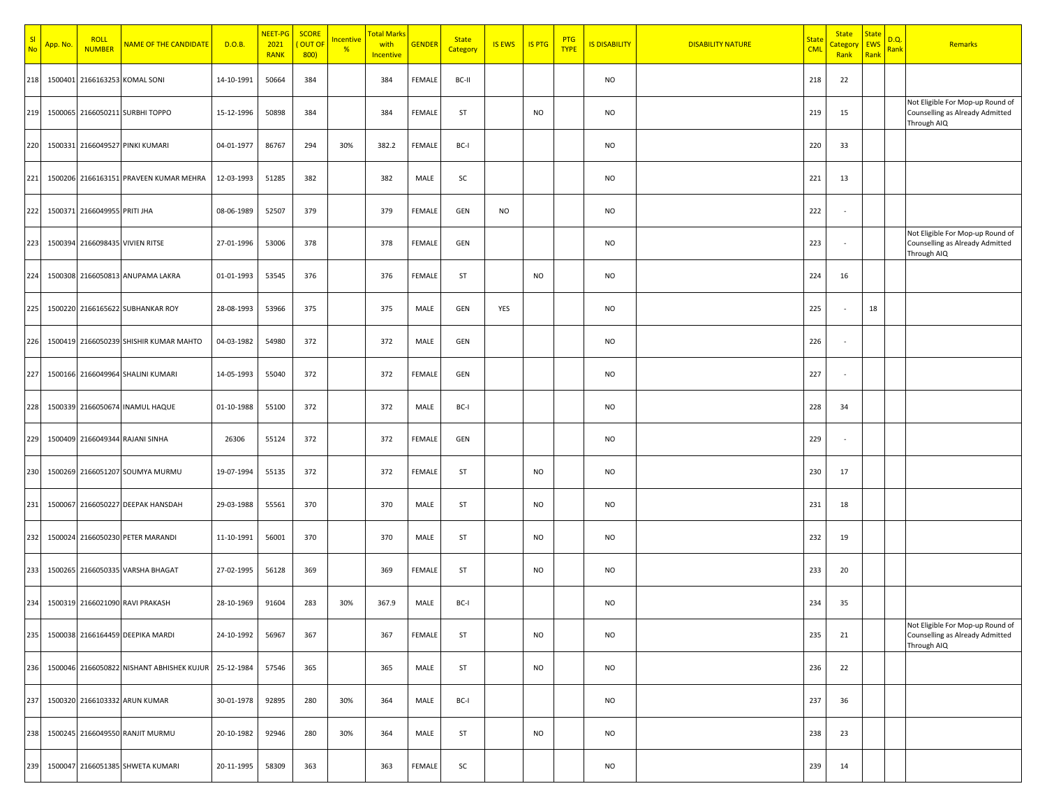| N <sub>c</sub> | App. No. | <b>ROLL</b><br><b>NUMBER</b> | NAME OF THE CANDIDATE                     | D.O.B.     | NEET-PG<br>2021<br><b>RANK</b> | <b>SCORE</b><br>OUT OF<br>800 | <mark>Incentive</mark><br>$\frac{96}{6}$ | Total Marks<br>with<br>Incentive | <b>GENDER</b> | <b>State</b><br>Category | <b>IS EWS</b> | <b>IS PTG</b> | <b>PTG</b><br><b>TYPE</b> | <b>IS DISABILITY</b> | <b>DISABILITY NATURE</b> | <u>State</u><br><b>CML</b> | <b>State</b><br><u>Sategor</u><br>Rank | <b>State</b><br>EWS<br>Rank | D.Q.<br><mark>Rank</mark> | Remarks                                                                            |
|----------------|----------|------------------------------|-------------------------------------------|------------|--------------------------------|-------------------------------|------------------------------------------|----------------------------------|---------------|--------------------------|---------------|---------------|---------------------------|----------------------|--------------------------|----------------------------|----------------------------------------|-----------------------------|---------------------------|------------------------------------------------------------------------------------|
| 218            |          |                              | 1500401 2166163253 KOMAL SONI             | 14-10-1991 | 50664                          | 384                           |                                          | 384                              | FEMALE        | BC-II                    |               |               |                           | <b>NO</b>            |                          | 218                        | 22                                     |                             |                           |                                                                                    |
| 219            |          |                              | 1500065 2166050211 SURBHI TOPPO           | 15-12-1996 | 50898                          | 384                           |                                          | 384                              | FEMALE        | ST                       |               | <b>NO</b>     |                           | <b>NO</b>            |                          | 219                        | 15                                     |                             |                           | Not Eligible For Mop-up Round of<br>Counselling as Already Admitted<br>Through AIQ |
| 220            |          |                              | 1500331 2166049527 PINKI KUMARI           | 04-01-1977 | 86767                          | 294                           | 30%                                      | 382.2                            | FEMALE        | BC-I                     |               |               |                           | <b>NO</b>            |                          | 220                        | 33                                     |                             |                           |                                                                                    |
| 221            |          |                              | 1500206 2166163151 PRAVEEN KUMAR MEHRA    | 12-03-1993 | 51285                          | 382                           |                                          | 382                              | MALE          | SC                       |               |               |                           | <b>NO</b>            |                          | 221                        | 13                                     |                             |                           |                                                                                    |
| 222            |          | 1500371 2166049955 PRITI JHA |                                           | 08-06-1989 | 52507                          | 379                           |                                          | 379                              | FEMALE        | GEN                      | <b>NO</b>     |               |                           | <b>NO</b>            |                          | 222                        |                                        |                             |                           |                                                                                    |
| 223            |          |                              | 1500394 2166098435 VIVIEN RITSE           | 27-01-1996 | 53006                          | 378                           |                                          | 378                              | FEMALE        | GEN                      |               |               |                           | <b>NO</b>            |                          | 223                        | $\overline{\phantom{a}}$               |                             |                           | Not Eligible For Mop-up Round of<br>Counselling as Already Admitted<br>Through AIQ |
| 224            |          |                              | 1500308 2166050813 ANUPAMA LAKRA          | 01-01-1993 | 53545                          | 376                           |                                          | 376                              | FEMALE        | ST                       |               | <b>NO</b>     |                           | <b>NO</b>            |                          | 224                        | 16                                     |                             |                           |                                                                                    |
| 225            |          |                              | 1500220 2166165622 SUBHANKAR ROY          | 28-08-1993 | 53966                          | 375                           |                                          | 375                              | MALE          | GEN                      | YES           |               |                           | <b>NO</b>            |                          | 225                        |                                        | 18                          |                           |                                                                                    |
| 226            |          |                              | 1500419 2166050239 SHISHIR KUMAR MAHTO    | 04-03-1982 | 54980                          | 372                           |                                          | 372                              | MALE          | GEN                      |               |               |                           | <b>NO</b>            |                          | 226                        |                                        |                             |                           |                                                                                    |
| 227            |          |                              | 1500166 2166049964 SHALINI KUMARI         | 14-05-1993 | 55040                          | 372                           |                                          | 372                              | FEMALE        | GEN                      |               |               |                           | <b>NO</b>            |                          | 227                        | $\overline{\phantom{a}}$               |                             |                           |                                                                                    |
| 228            |          |                              | 1500339 2166050674 INAMUL HAQUE           | 01-10-1988 | 55100                          | 372                           |                                          | 372                              | MALE          | BC-I                     |               |               |                           | <b>NO</b>            |                          | 228                        | 34                                     |                             |                           |                                                                                    |
| 229            |          |                              | 1500409 2166049344 RAJANI SINHA           | 26306      | 55124                          | 372                           |                                          | 372                              | FEMALE        | GEN                      |               |               |                           | <b>NO</b>            |                          | 229                        |                                        |                             |                           |                                                                                    |
| 230            |          |                              | 1500269 2166051207 SOUMYA MURMU           | 19-07-1994 | 55135                          | 372                           |                                          | 372                              | FEMALE        | ST                       |               | <b>NO</b>     |                           | <b>NO</b>            |                          | 230                        | 17                                     |                             |                           |                                                                                    |
| 231            |          |                              | 1500067 2166050227 DEEPAK HANSDAH         | 29-03-1988 | 55561                          | 370                           |                                          | 370                              | MALE          | ST                       |               | <b>NO</b>     |                           | <b>NO</b>            |                          | 231                        | 18                                     |                             |                           |                                                                                    |
| 232            |          |                              | 1500024 2166050230 PETER MARANDI          | 11-10-1991 | 56001                          | 370                           |                                          | 370                              | MALE          | ST                       |               | <b>NO</b>     |                           | <b>NO</b>            |                          | 232                        | 19                                     |                             |                           |                                                                                    |
| 233            |          |                              | 1500265 2166050335 VARSHA BHAGAT          | 27-02-1995 | 56128                          | 369                           |                                          | 369                              | FEMALE        | ST                       |               | <b>NO</b>     |                           | <b>NO</b>            |                          | 233                        | 20                                     |                             |                           |                                                                                    |
| 234            |          |                              | 1500319 2166021090 RAVI PRAKASH           | 28-10-1969 | 91604                          | 283                           | 30%                                      | 367.9                            | MALE          | BC-I                     |               |               |                           | <b>NO</b>            |                          | 234                        | 35                                     |                             |                           |                                                                                    |
| 235            |          |                              | 1500038 2166164459 DEEPIKA MARDI          | 24-10-1992 | 56967                          | 367                           |                                          | 367                              | FEMALE        | ST                       |               | <b>NO</b>     |                           | <b>NO</b>            |                          | 235                        | 21                                     |                             |                           | Not Eligible For Mop-up Round of<br>Counselling as Already Admitted<br>Through AIQ |
| 236            |          |                              | 1500046 2166050822 NISHANT ABHISHEK KUJUR | 25-12-1984 | 57546                          | 365                           |                                          | 365                              | MALE          | ST                       |               | <b>NO</b>     |                           | <b>NO</b>            |                          | 236                        | 22                                     |                             |                           |                                                                                    |
| 237            |          |                              | 1500320 2166103332 ARUN KUMAR             | 30-01-1978 | 92895                          | 280                           | 30%                                      | 364                              | MALE          | BC-I                     |               |               |                           | <b>NO</b>            |                          | 237                        | 36                                     |                             |                           |                                                                                    |
| 238            |          |                              | 1500245 2166049550 RANJIT MURMU           | 20-10-1982 | 92946                          | 280                           | 30%                                      | 364                              | MALE          | ST                       |               | <b>NO</b>     |                           | <b>NO</b>            |                          | 238                        | 23                                     |                             |                           |                                                                                    |
| 239            |          |                              | 1500047 2166051385 SHWETA KUMARI          | 20-11-1995 | 58309                          | 363                           |                                          | 363                              | FEMALE        | SC                       |               |               |                           | <b>NO</b>            |                          | 239                        | 14                                     |                             |                           |                                                                                    |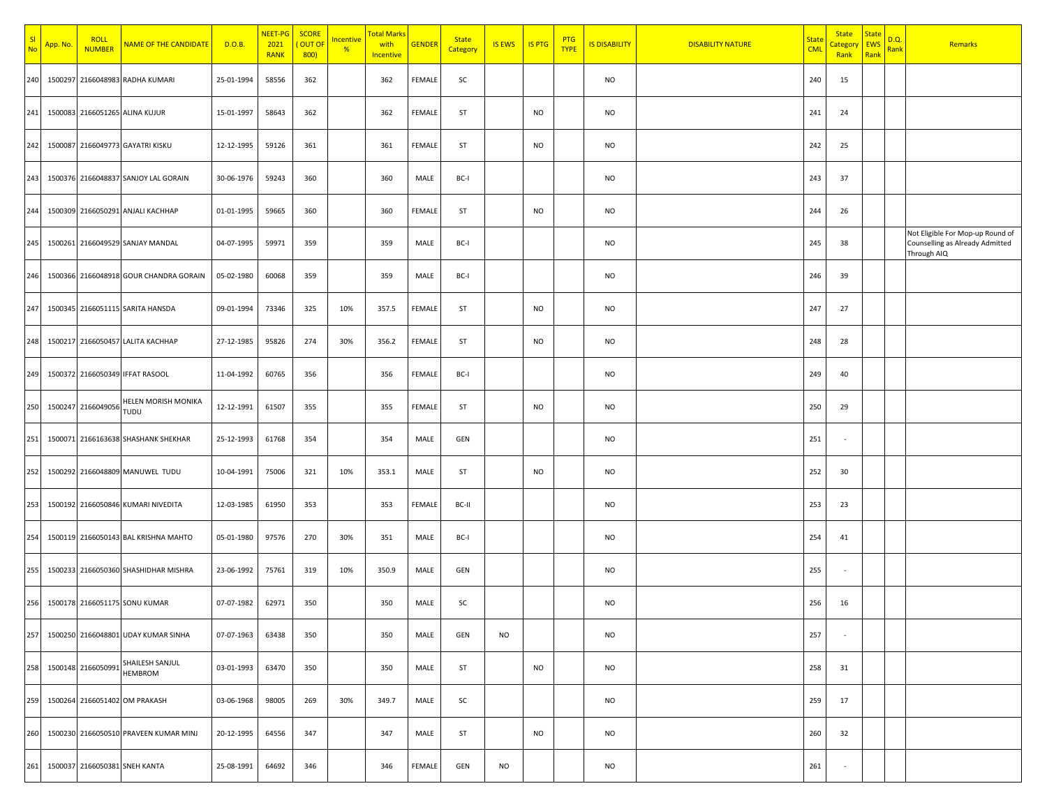| -SI<br>N <sub>0</sub> | <mark>App. No.</mark> | <b>ROLL</b><br><b>NUMBER</b> | NAME OF THE CANDIDATE                  | D.O.B.     | NEET-PG<br>2021<br><b>RANK</b> | <b>SCORE</b><br>OUT OF<br>800 | <u>Incentive</u><br>% | <mark>Total Marks</mark><br>with<br>Incentive | <b>GENDER</b> | <b>State</b><br>Category | <b>IS EWS</b> | <b>IS PTG</b> | <b>PTG</b><br><b>TYPE</b> | <b>IS DISABILITY</b> | <b>DISABILITY NATURE</b> | <b>State</b><br><b>CML</b> | <b>State</b><br><mark>`ategor</mark><br>Rank | <b>State</b><br><b>EWS</b><br>Rank | <u>D.Q.</u><br><mark>Rank</mark> | Remarks                                                                            |
|-----------------------|-----------------------|------------------------------|----------------------------------------|------------|--------------------------------|-------------------------------|-----------------------|-----------------------------------------------|---------------|--------------------------|---------------|---------------|---------------------------|----------------------|--------------------------|----------------------------|----------------------------------------------|------------------------------------|----------------------------------|------------------------------------------------------------------------------------|
| 240                   |                       |                              | 1500297 2166048983 RADHA KUMARI        | 25-01-1994 | 58556                          | 362                           |                       | 362                                           | FEMALE        | SC                       |               |               |                           | <b>NO</b>            |                          | 240                        | 15                                           |                                    |                                  |                                                                                    |
| 241                   |                       |                              | 1500083 2166051265 ALINA KUJUR         | 15-01-1997 | 58643                          | 362                           |                       | 362                                           | FEMALE        | ST                       |               | <b>NO</b>     |                           | <b>NO</b>            |                          | 241                        | 24                                           |                                    |                                  |                                                                                    |
| 242                   |                       |                              | 1500087 2166049773 GAYATRI KISKU       | 12-12-1995 | 59126                          | 361                           |                       | 361                                           | FEMALE        | <b>ST</b>                |               | <b>NO</b>     |                           | <b>NO</b>            |                          | 242                        | 25                                           |                                    |                                  |                                                                                    |
| 243                   |                       |                              | 1500376 2166048837 SANJOY LAL GORAIN   | 30-06-1976 | 59243                          | 360                           |                       | 360                                           | MALE          | BC-I                     |               |               |                           | <b>NO</b>            |                          | 243                        | 37                                           |                                    |                                  |                                                                                    |
| 244                   |                       |                              | 1500309 2166050291 ANJALI KACHHAP      | 01-01-1995 | 59665                          | 360                           |                       | 360                                           | FEMALE        | ST                       |               | <b>NO</b>     |                           | <b>NO</b>            |                          | 244                        | 26                                           |                                    |                                  |                                                                                    |
| 245                   |                       |                              | 1500261 2166049529 SANJAY MANDAL       | 04-07-1995 | 59971                          | 359                           |                       | 359                                           | MALE          | BC-I                     |               |               |                           | <b>NO</b>            |                          | 245                        | 38                                           |                                    |                                  | Not Eligible For Mop-up Round of<br>Counselling as Already Admitted<br>Through AIQ |
| 246                   |                       |                              | 1500366 2166048918 GOUR CHANDRA GORAIN | 05-02-1980 | 60068                          | 359                           |                       | 359                                           | MALE          | BC-I                     |               |               |                           | <b>NO</b>            |                          | 246                        | 39                                           |                                    |                                  |                                                                                    |
| 247                   |                       |                              | 1500345 2166051115 SARITA HANSDA       | 09-01-1994 | 73346                          | 325                           | 10%                   | 357.5                                         | FEMALE        | ST                       |               | <b>NO</b>     |                           | <b>NO</b>            |                          | 247                        | 27                                           |                                    |                                  |                                                                                    |
| 248                   |                       |                              | 1500217 2166050457 LALITA KACHHAP      | 27-12-1985 | 95826                          | 274                           | 30%                   | 356.2                                         | FEMALE        | ST                       |               | <b>NO</b>     |                           | <b>NO</b>            |                          | 248                        | 28                                           |                                    |                                  |                                                                                    |
| 249                   |                       |                              | 1500372 2166050349 IFFAT RASOOL        | 11-04-1992 | 60765                          | 356                           |                       | 356                                           | FEMALE        | BC-I                     |               |               |                           | <b>NO</b>            |                          | 249                        | 40                                           |                                    |                                  |                                                                                    |
| 250                   |                       | 1500247 2166049056           | HELEN MORISH MONIKA<br>TUDU            | 12-12-1991 | 61507                          | 355                           |                       | 355                                           | FEMALE        | <b>ST</b>                |               | <b>NO</b>     |                           | <b>NO</b>            |                          | 250                        | 29                                           |                                    |                                  |                                                                                    |
| 251                   |                       |                              | 1500071 2166163638 SHASHANK SHEKHAR    | 25-12-1993 | 61768                          | 354                           |                       | 354                                           | MALE          | GEN                      |               |               |                           | <b>NO</b>            |                          | 251                        | $\sim$                                       |                                    |                                  |                                                                                    |
| 252                   |                       |                              | 1500292 2166048809 MANUWEL TUDU        | 10-04-1991 | 75006                          | 321                           | 10%                   | 353.1                                         | MALE          | ST                       |               | <b>NO</b>     |                           | <b>NO</b>            |                          | 252                        | 30                                           |                                    |                                  |                                                                                    |
| 253                   |                       |                              | 1500192 2166050846 KUMARI NIVEDITA     | 12-03-1985 | 61950                          | 353                           |                       | 353                                           | FEMALE        | BC-II                    |               |               |                           | <b>NO</b>            |                          | 253                        | 23                                           |                                    |                                  |                                                                                    |
| 254                   |                       |                              | 1500119 2166050143 BAL KRISHNA MAHTO   | 05-01-1980 | 97576                          | 270                           | 30%                   | 351                                           | MALE          | BC-I                     |               |               |                           | <b>NO</b>            |                          | 254                        | 41                                           |                                    |                                  |                                                                                    |
| 255                   |                       |                              | 1500233 2166050360 SHASHIDHAR MISHRA   | 23-06-1992 | 75761                          | 319                           | 10%                   | 350.9                                         | MALE          | GEN                      |               |               |                           | <b>NO</b>            |                          | 255                        |                                              |                                    |                                  |                                                                                    |
| 256                   |                       |                              | 1500178 2166051175 SONU KUMAR          | 07-07-1982 | 62971                          | 350                           |                       | 350                                           | MALE          | SC                       |               |               |                           | <b>NO</b>            |                          | 256                        | 16                                           |                                    |                                  |                                                                                    |
| 257                   |                       |                              | 1500250 2166048801 UDAY KUMAR SINHA    | 07-07-1963 | 63438                          | 350                           |                       | 350                                           | MALE          | GEN                      | <b>NO</b>     |               |                           | <b>NO</b>            |                          | 257                        | $\sim$                                       |                                    |                                  |                                                                                    |
| 258                   |                       | 1500148 2166050991           | SHAILESH SANJUL<br><b>HEMBROM</b>      | 03-01-1993 | 63470                          | 350                           |                       | 350                                           | MALE          | ST                       |               | <b>NO</b>     |                           | <b>NO</b>            |                          | 258                        | 31                                           |                                    |                                  |                                                                                    |
| 259                   |                       |                              | 1500264 2166051402 OM PRAKASH          | 03-06-1968 | 98005                          | 269                           | 30%                   | 349.7                                         | MALE          | SC                       |               |               |                           | <b>NO</b>            |                          | 259                        | 17                                           |                                    |                                  |                                                                                    |
| 260                   |                       |                              | 1500230 2166050510 PRAVEEN KUMAR MINJ  | 20-12-1995 | 64556                          | 347                           |                       | 347                                           | MALE          | <b>ST</b>                |               | <b>NO</b>     |                           | <b>NO</b>            |                          | 260                        | 32                                           |                                    |                                  |                                                                                    |
| 261                   |                       |                              | 1500037 2166050381 SNEH KANTA          | 25-08-1991 | 64692                          | 346                           |                       | 346                                           | FEMALE        | GEN                      | <b>NO</b>     |               |                           | <b>NO</b>            |                          | 261                        | $\sim$                                       |                                    |                                  |                                                                                    |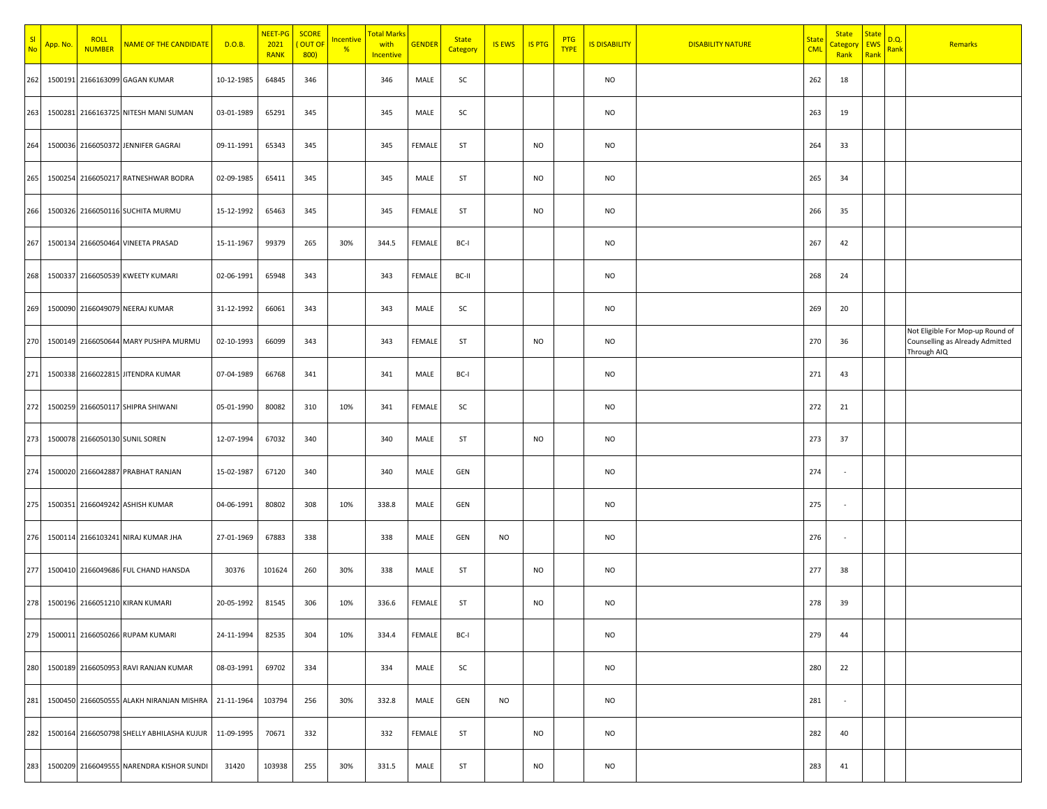| S <sub>l</sub><br><b>Nc</b> | <mark>App. No</mark> . | <b>ROLL</b><br><b>NUMBER</b> | NAME OF THE CANDIDATE                                  | D.O.B.     | NEET-PG<br>2021<br><b>RANK</b> | <b>SCORE</b><br>OUT OF<br>800) | <u>Incentive</u><br>$\frac{96}{6}$ | Total Mark:<br>with<br>Incentive | <b>GENDER</b> | <b>State</b><br>Category | <b>IS EWS</b> | <b>IS PTG</b> | <b>PTG</b><br><b>TYPE</b> | <b>IS DISABILITY</b> | <b>DISABILITY NATURE</b> | <b>State</b><br><b>CML</b> | <b>State</b><br>Categor<br>Rank | <b>State</b><br><b>EWS</b><br>Rank | D.Q.<br>Rank | Remarks                                                                            |
|-----------------------------|------------------------|------------------------------|--------------------------------------------------------|------------|--------------------------------|--------------------------------|------------------------------------|----------------------------------|---------------|--------------------------|---------------|---------------|---------------------------|----------------------|--------------------------|----------------------------|---------------------------------|------------------------------------|--------------|------------------------------------------------------------------------------------|
| 262                         | 1500191                |                              | 2166163099 GAGAN KUMAR                                 | 10-12-1985 | 64845                          | 346                            |                                    | 346                              | MALE          | SC                       |               |               |                           | <b>NO</b>            |                          | 262                        | 18                              |                                    |              |                                                                                    |
| 263                         |                        |                              | 1500281 2166163725 NITESH MANI SUMAN                   | 03-01-1989 | 65291                          | 345                            |                                    | 345                              | MALE          | SC                       |               |               |                           | <b>NO</b>            |                          | 263                        | 19                              |                                    |              |                                                                                    |
| 264                         |                        |                              | 1500036 2166050372 JENNIFER GAGRAI                     | 09-11-1991 | 65343                          | 345                            |                                    | 345                              | FEMALE        | <b>ST</b>                |               | <b>NO</b>     |                           | <b>NO</b>            |                          | 264                        | 33                              |                                    |              |                                                                                    |
| 265                         |                        |                              | 1500254 2166050217 RATNESHWAR BODRA                    | 02-09-1985 | 65411                          | 345                            |                                    | 345                              | MALE          | <b>ST</b>                |               | <b>NO</b>     |                           | <b>NO</b>            |                          | 265                        | 34                              |                                    |              |                                                                                    |
| 266                         |                        |                              | 1500326 2166050116 SUCHITA MURMU                       | 15-12-1992 | 65463                          | 345                            |                                    | 345                              | FEMALE        | ST                       |               | <b>NO</b>     |                           | <b>NO</b>            |                          | 266                        | 35                              |                                    |              |                                                                                    |
| 267                         |                        |                              | 1500134 2166050464 VINEETA PRASAD                      | 15-11-1967 | 99379                          | 265                            | 30%                                | 344.5                            | FEMALE        | BC-I                     |               |               |                           | <b>NO</b>            |                          | 267                        | 42                              |                                    |              |                                                                                    |
| 268                         |                        |                              | 1500337 2166050539 KWEETY KUMARI                       | 02-06-1991 | 65948                          | 343                            |                                    | 343                              | FEMALE        | BC-II                    |               |               |                           | <b>NO</b>            |                          | 268                        | 24                              |                                    |              |                                                                                    |
| 269                         |                        |                              | 1500090 2166049079 NEERAJ KUMAR                        | 31-12-1992 | 66061                          | 343                            |                                    | 343                              | MALE          | SC                       |               |               |                           | <b>NO</b>            |                          | 269                        | 20                              |                                    |              |                                                                                    |
| 270                         |                        |                              | 1500149 2166050644 MARY PUSHPA MURMU                   | 02-10-1993 | 66099                          | 343                            |                                    | 343                              | FEMALE        | ST                       |               | <b>NO</b>     |                           | <b>NO</b>            |                          | 270                        | 36                              |                                    |              | Not Eligible For Mop-up Round of<br>Counselling as Already Admitted<br>Through AIQ |
| 271                         |                        |                              | 1500338 2166022815 JITENDRA KUMAR                      | 07-04-1989 | 66768                          | 341                            |                                    | 341                              | MALE          | BC-I                     |               |               |                           | <b>NO</b>            |                          | 271                        | 43                              |                                    |              |                                                                                    |
| 272                         |                        |                              | 1500259 2166050117 SHIPRA SHIWANI                      | 05-01-1990 | 80082                          | 310                            | 10%                                | 341                              | FEMALE        | SC                       |               |               |                           | <b>NO</b>            |                          | 272                        | 21                              |                                    |              |                                                                                    |
| 273                         |                        |                              | 1500078 2166050130 SUNIL SOREN                         | 12-07-1994 | 67032                          | 340                            |                                    | 340                              | MALE          | ST                       |               | <b>NO</b>     |                           | <b>NO</b>            |                          | 273                        | 37                              |                                    |              |                                                                                    |
| 274                         |                        |                              | 1500020 2166042887 PRABHAT RANJAN                      | 15-02-1987 | 67120                          | 340                            |                                    | 340                              | MALE          | GEN                      |               |               |                           | <b>NO</b>            |                          | 274                        | $\overline{\phantom{a}}$        |                                    |              |                                                                                    |
| 275                         |                        |                              | 1500351 2166049242 ASHISH KUMAR                        | 04-06-1991 | 80802                          | 308                            | 10%                                | 338.8                            | MALE          | GEN                      |               |               |                           | <b>NO</b>            |                          | 275                        | $\sim$                          |                                    |              |                                                                                    |
| 276                         |                        |                              | 1500114 2166103241 NIRAJ KUMAR JHA                     | 27-01-1969 | 67883                          | 338                            |                                    | 338                              | MALE          | GEN                      | NO            |               |                           | <b>NO</b>            |                          | 276                        |                                 |                                    |              |                                                                                    |
| 277                         |                        |                              | 1500410 2166049686 FUL CHAND HANSDA                    | 30376      | 101624                         | 260                            | 30%                                | 338                              | MALE          | <b>ST</b>                |               | <b>NO</b>     |                           | <b>NO</b>            |                          | 277                        | 38                              |                                    |              |                                                                                    |
| 278                         |                        |                              | 1500196 2166051210 KIRAN KUMARI                        | 20-05-1992 | 81545                          | 306                            | 10%                                | 336.6                            | FEMALE        | ST                       |               | NO            |                           | NO                   |                          | 278                        | 39                              |                                    |              |                                                                                    |
| 279                         |                        |                              | 1500011 2166050266 RUPAM KUMARI                        | 24-11-1994 | 82535                          | 304                            | 10%                                | 334.4                            | FEMALE        | BC-I                     |               |               |                           | <b>NO</b>            |                          | 279                        | 44                              |                                    |              |                                                                                    |
| 280                         |                        |                              | 1500189 2166050953 RAVI RANJAN KUMAR                   | 08-03-1991 | 69702                          | 334                            |                                    | 334                              | MALE          | SC                       |               |               |                           | NO                   |                          | 280                        | 22                              |                                    |              |                                                                                    |
| 281                         |                        |                              | 1500450 2166050555 ALAKH NIRANJAN MISHRA               | 21-11-1964 | 103794                         | 256                            | 30%                                | 332.8                            | MALE          | GEN                      | <b>NO</b>     |               |                           | <b>NO</b>            |                          | 281                        | $\sim$                          |                                    |              |                                                                                    |
| 282                         |                        |                              | 1500164 2166050798 SHELLY ABHILASHA KUJUR   11-09-1995 |            | 70671                          | 332                            |                                    | 332                              | FEMALE        | ST                       |               | <b>NO</b>     |                           | <b>NO</b>            |                          | 282                        | 40                              |                                    |              |                                                                                    |
| 283                         |                        |                              | 1500209 2166049555 NARENDRA KISHOR SUNDI               | 31420      | 103938                         | 255                            | 30%                                | 331.5                            | MALE          | ST                       |               | <b>NO</b>     |                           | <b>NO</b>            |                          | 283                        | 41                              |                                    |              |                                                                                    |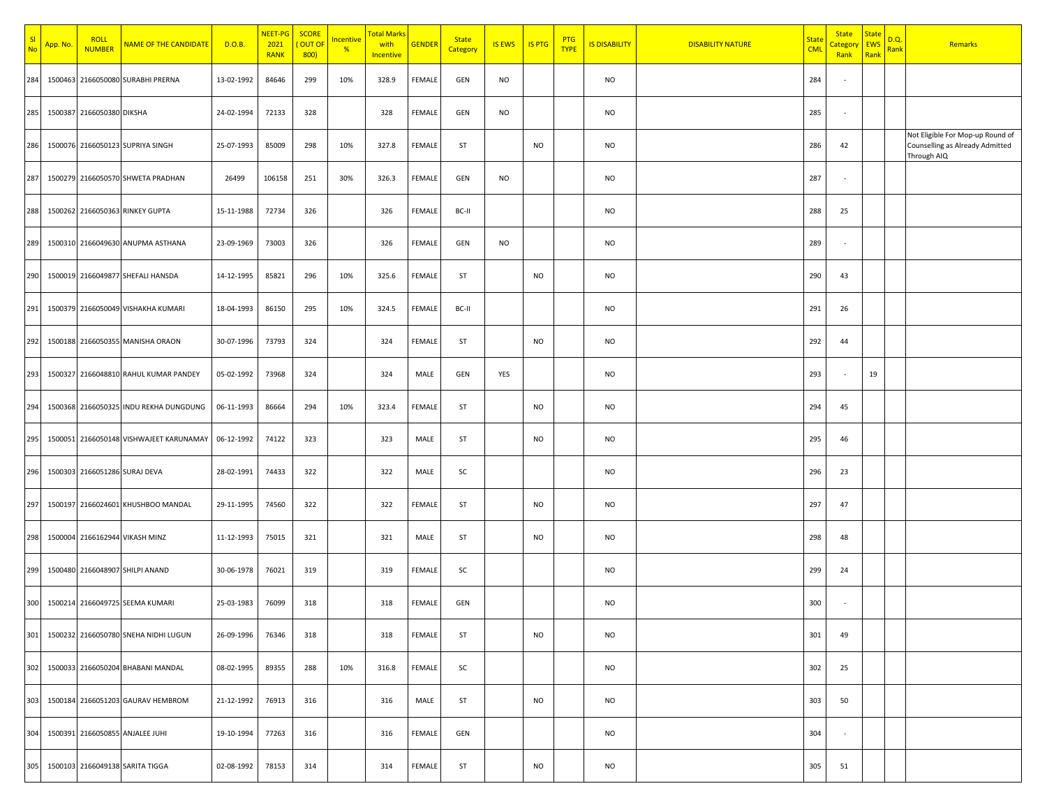| -SI<br><b>No</b> | App. No. | <b>ROLL</b><br><b>NUMBER</b> | <b>NAME OF THE CANDIDATE</b>            | D.O.B.     | NEET-PG<br>2021<br>RANK | <b>SCORE</b><br>OUT OF<br>800 | <u>Incentive</u><br>% | Total Marks<br>with<br>Incentive | <b>GENDER</b> | <b>State</b><br>Category | <b>IS EWS</b> | <b>IS PTG</b> | <b>PTG</b><br><b>TYPE</b> | <b>IS DISABILITY</b> | <b>DISABILITY NATURE</b> | <b>State</b><br><b>CML</b> | <b>State</b><br><u>:ategory</u><br>Rank | <b>State</b><br><b>EWS</b><br>Rank | D.Q.<br>Rank | Remarks                                                                            |
|------------------|----------|------------------------------|-----------------------------------------|------------|-------------------------|-------------------------------|-----------------------|----------------------------------|---------------|--------------------------|---------------|---------------|---------------------------|----------------------|--------------------------|----------------------------|-----------------------------------------|------------------------------------|--------------|------------------------------------------------------------------------------------|
| 284              |          |                              | 1500463 2166050080 SURABHI PRERNA       | 13-02-1992 | 84646                   | 299                           | 10%                   | 328.9                            | FEMALE        | GEN                      | <b>NO</b>     |               |                           | <b>NO</b>            |                          | 284                        |                                         |                                    |              |                                                                                    |
| 285              |          | 1500387 2166050380 DIKSHA    |                                         | 24-02-1994 | 72133                   | 328                           |                       | 328                              | FEMALE        | GEN                      | <b>NO</b>     |               |                           | <b>NO</b>            |                          | 285                        | $\sim$                                  |                                    |              |                                                                                    |
| 286              |          |                              | 1500076 2166050123 SUPRIYA SINGH        | 25-07-1993 | 85009                   | 298                           | 10%                   | 327.8                            | FEMALE        | ST                       |               | <b>NO</b>     |                           | <b>NO</b>            |                          | 286                        | 42                                      |                                    |              | Not Eligible For Mop-up Round of<br>Counselling as Already Admitted<br>Through AIQ |
| 287              |          |                              | 1500279 2166050570 SHWETA PRADHAN       | 26499      | 106158                  | 251                           | 30%                   | 326.3                            | FEMALE        | GEN                      | <b>NO</b>     |               |                           | <b>NO</b>            |                          | 287                        | $\overline{\phantom{a}}$                |                                    |              |                                                                                    |
| 288              |          |                              | 1500262 2166050363 RINKEY GUPTA         | 15-11-1988 | 72734                   | 326                           |                       | 326                              | FEMALE        | BC-II                    |               |               |                           | <b>NO</b>            |                          | 288                        | 25                                      |                                    |              |                                                                                    |
| 289              |          |                              | 1500310 2166049630 ANUPMA ASTHANA       | 23-09-1969 | 73003                   | 326                           |                       | 326                              | FEMALE        | GEN                      | <b>NO</b>     |               |                           | <b>NO</b>            |                          | 289                        |                                         |                                    |              |                                                                                    |
| 290              |          |                              | 1500019 2166049877 SHEFALI HANSDA       | 14-12-1995 | 85821                   | 296                           | 10%                   | 325.6                            | FEMALE        | ST                       |               | <b>NO</b>     |                           | <b>NO</b>            |                          | 290                        | 43                                      |                                    |              |                                                                                    |
| 291              |          |                              | 1500379 2166050049 VISHAKHA KUMARI      | 18-04-1993 | 86150                   | 295                           | 10%                   | 324.5                            | FEMALE        | BC-II                    |               |               |                           | <b>NO</b>            |                          | 291                        | 26                                      |                                    |              |                                                                                    |
| 292              |          |                              | 1500188 2166050355 MANISHA ORAON        | 30-07-1996 | 73793                   | 324                           |                       | 324                              | FEMALE        | ST                       |               | <b>NO</b>     |                           | <b>NO</b>            |                          | 292                        | 44                                      |                                    |              |                                                                                    |
| 293              |          |                              | 1500327 2166048810 RAHUL KUMAR PANDEY   | 05-02-1992 | 73968                   | 324                           |                       | 324                              | MALE          | GEN                      | YES           |               |                           | <b>NO</b>            |                          | 293                        | $\overline{\phantom{a}}$                | 19                                 |              |                                                                                    |
| 294              |          |                              | 1500368 2166050325 INDU REKHA DUNGDUNG  | 06-11-1993 | 86664                   | 294                           | 10%                   | 323.4                            | FEMALE        | ST                       |               | <b>NO</b>     |                           | <b>NO</b>            |                          | 294                        | 45                                      |                                    |              |                                                                                    |
| 295              |          |                              | 1500051 2166050148 VISHWAJEET KARUNAMAY | 06-12-1992 | 74122                   | 323                           |                       | 323                              | MALE          | ST                       |               | <b>NO</b>     |                           | <b>NO</b>            |                          | 295                        | 46                                      |                                    |              |                                                                                    |
| 296              |          |                              | 1500303 2166051286 SURAJ DEVA           | 28-02-1991 | 74433                   | 322                           |                       | 322                              | MALE          | <b>SC</b>                |               |               |                           | <b>NO</b>            |                          | 296                        | 23                                      |                                    |              |                                                                                    |
| 297              |          |                              | 1500197 2166024601 KHUSHBOO MANDAL      | 29-11-1995 | 74560                   | 322                           |                       | 322                              | FEMALE        | ST                       |               | <b>NO</b>     |                           | <b>NO</b>            |                          | 297                        | 47                                      |                                    |              |                                                                                    |
| 298              |          |                              | 1500004 2166162944 VIKASH MINZ          | 11-12-1993 | 75015                   | 321                           |                       | 321                              | MALE          | ST                       |               | <b>NO</b>     |                           | <b>NO</b>            |                          | 298                        | 48                                      |                                    |              |                                                                                    |
| 299              |          |                              | 1500480 2166048907 SHILPI ANAND         | 30-06-1978 | 76021                   | 319                           |                       | 319                              | FEMALE        | SC                       |               |               |                           | <b>NO</b>            |                          | 299                        | 24                                      |                                    |              |                                                                                    |
| 300              |          |                              | 1500214 2166049725 SEEMA KUMARI         | 25-03-1983 | 76099                   | 318                           |                       | 318                              | FEMALE        | GEN                      |               |               |                           | <b>NO</b>            |                          | 300                        |                                         |                                    |              |                                                                                    |
| 301              |          |                              | 1500232 2166050780 SNEHA NIDHI LUGUN    | 26-09-1996 | 76346                   | 318                           |                       | 318                              | FEMALE        | ST                       |               | <b>NO</b>     |                           | <b>NO</b>            |                          | 301                        | 49                                      |                                    |              |                                                                                    |
| 302              |          |                              | 1500033 2166050204 BHABANI MANDAL       | 08-02-1995 | 89355                   | 288                           | 10%                   | 316.8                            | FEMALE        | SC                       |               |               |                           | <b>NO</b>            |                          | 302                        | 25                                      |                                    |              |                                                                                    |
| 303              |          |                              | 1500184 2166051203 GAURAV HEMBROM       | 21-12-1992 | 76913                   | 316                           |                       | 316                              | MALE          | ST                       |               | <b>NO</b>     |                           | NO.                  |                          | 303                        | 50                                      |                                    |              |                                                                                    |
| 304              |          |                              | 1500391 2166050855 ANJALEE JUHI         | 19-10-1994 | 77263                   | 316                           |                       | 316                              | FEMALE        | GEN                      |               |               |                           | <b>NO</b>            |                          | 304                        | $\sim$                                  |                                    |              |                                                                                    |
| 305              |          |                              | 1500103 2166049138 SARITA TIGGA         | 02-08-1992 | 78153                   | 314                           |                       | 314                              | FEMALE        | ST                       |               | NO            |                           | <b>NO</b>            |                          | 305                        | 51                                      |                                    |              |                                                                                    |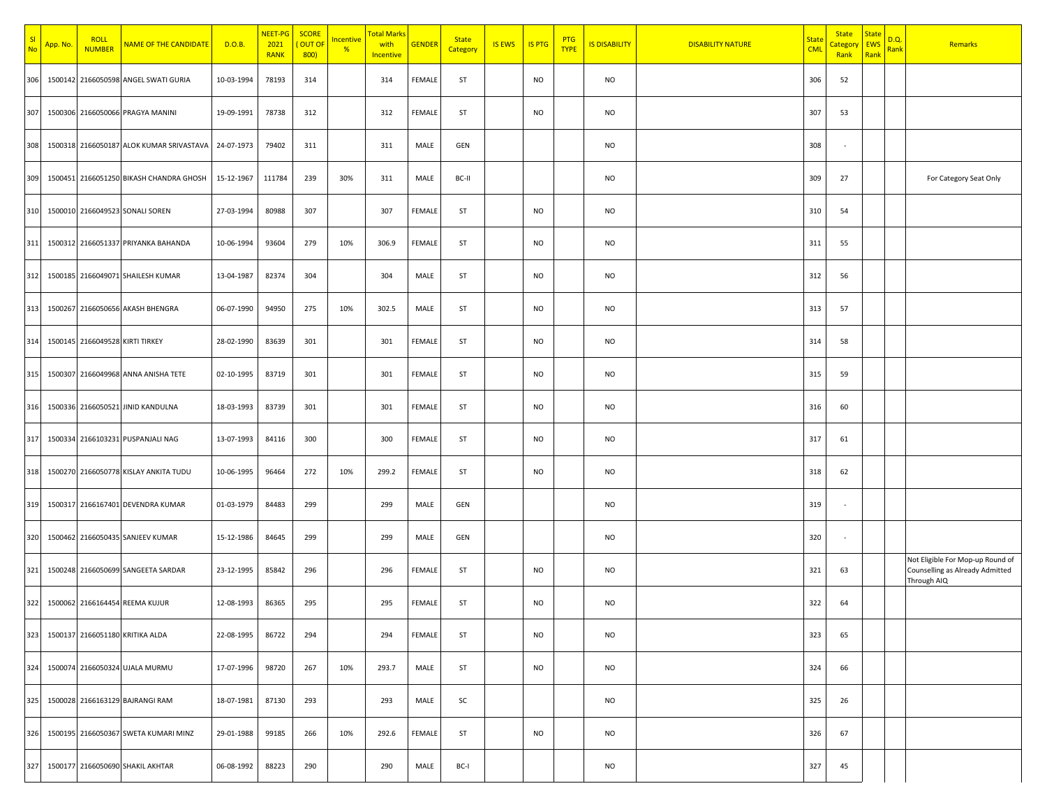| -SI<br><b>No</b> | App. No. | <b>ROLL</b><br><b>NUMBER</b>    | NAME OF THE CANDIDATE                    | D.O.B.     | NEET-PG<br>2021<br><b>RANK</b> | <b>SCORE</b><br>OUT OF<br>800) | <u>Incentive</u><br>% | <mark>Total Marks</mark><br>with<br>Incentive | <b>GENDER</b> | <b>State</b><br>Category | <b>IS EWS</b> | <b>IS PTG</b> | <b>PTG</b><br><b>TYPE</b> | <b>IS DISABILITY</b> | <b>DISABILITY NATURE</b> | <b>State</b><br><b>CML</b> | <b>State</b><br><u>`ategory</u><br>Rank | <b>State</b><br><b>EWS</b><br>Rank | D.Q.<br>Rank | Remarks                                                                            |
|------------------|----------|---------------------------------|------------------------------------------|------------|--------------------------------|--------------------------------|-----------------------|-----------------------------------------------|---------------|--------------------------|---------------|---------------|---------------------------|----------------------|--------------------------|----------------------------|-----------------------------------------|------------------------------------|--------------|------------------------------------------------------------------------------------|
| 306              |          |                                 | 1500142 2166050598 ANGEL SWATI GURIA     | 10-03-1994 | 78193                          | 314                            |                       | 314                                           | FEMALE        | ST                       |               | NO.           |                           | <b>NO</b>            |                          | 306                        | 52                                      |                                    |              |                                                                                    |
| 307              |          |                                 | 1500306 2166050066 PRAGYA MANINI         | 19-09-1991 | 78738                          | 312                            |                       | 312                                           | FEMALE        | ST                       |               | <b>NO</b>     |                           | <b>NO</b>            |                          | 307                        | 53                                      |                                    |              |                                                                                    |
| 308              |          |                                 | 1500318 2166050187 ALOK KUMAR SRIVASTAVA | 24-07-1973 | 79402                          | 311                            |                       | 311                                           | MALE          | GEN                      |               |               |                           | <b>NO</b>            |                          | 308                        | $\sim$                                  |                                    |              |                                                                                    |
| 309              |          |                                 | 1500451 2166051250 BIKASH CHANDRA GHOSH  | 15-12-1967 | 111784                         | 239                            | 30%                   | 311                                           | MALE          | BC-II                    |               |               |                           | <b>NO</b>            |                          | 309                        | 27                                      |                                    |              | For Category Seat Only                                                             |
| 310              |          |                                 | 1500010 2166049523 SONALI SOREN          | 27-03-1994 | 80988                          | 307                            |                       | 307                                           | FEMALE        | ST                       |               | <b>NO</b>     |                           | <b>NO</b>            |                          | 310                        | 54                                      |                                    |              |                                                                                    |
| 311              |          |                                 | 1500312 2166051337 PRIYANKA BAHANDA      | 10-06-1994 | 93604                          | 279                            | 10%                   | 306.9                                         | FEMALE        | ST                       |               | <b>NO</b>     |                           | <b>NO</b>            |                          | 311                        | 55                                      |                                    |              |                                                                                    |
| 312              |          |                                 | 1500185 2166049071 SHAILESH KUMAR        | 13-04-1987 | 82374                          | 304                            |                       | 304                                           | MALE          | ST                       |               | <b>NO</b>     |                           | <b>NO</b>            |                          | 312                        | 56                                      |                                    |              |                                                                                    |
| 313              |          |                                 | 1500267 2166050656 AKASH BHENGRA         | 06-07-1990 | 94950                          | 275                            | 10%                   | 302.5                                         | MALE          | ST                       |               | <b>NO</b>     |                           | <b>NO</b>            |                          | 313                        | 57                                      |                                    |              |                                                                                    |
| 314              |          | 1500145 2166049528 KIRTI TIRKEY |                                          | 28-02-1990 | 83639                          | 301                            |                       | 301                                           | FEMALE        | ST                       |               | NO.           |                           | <b>NO</b>            |                          | 314                        | 58                                      |                                    |              |                                                                                    |
| 315              |          |                                 | 1500307 2166049968 ANNA ANISHA TETE      | 02-10-1995 | 83719                          | 301                            |                       | 301                                           | FEMALE        | ST                       |               | <b>NO</b>     |                           | <b>NO</b>            |                          | 315                        | 59                                      |                                    |              |                                                                                    |
| 316              |          |                                 | 1500336 2166050521 JINID KANDULNA        | 18-03-1993 | 83739                          | 301                            |                       | 301                                           | <b>FEMALE</b> | ST                       |               | <b>NO</b>     |                           | <b>NO</b>            |                          | 316                        | 60                                      |                                    |              |                                                                                    |
| 317              |          |                                 | 1500334 2166103231 PUSPANJALI NAG        | 13-07-1993 | 84116                          | 300                            |                       | 300                                           | <b>FEMALE</b> | ST                       |               | <b>NO</b>     |                           | <b>NO</b>            |                          | 317                        | 61                                      |                                    |              |                                                                                    |
| 318              |          |                                 | 1500270 2166050778 KISLAY ANKITA TUDU    | 10-06-1995 | 96464                          | 272                            | 10%                   | 299.2                                         | FEMALE        | ST                       |               | <b>NO</b>     |                           | <b>NO</b>            |                          | 318                        | 62                                      |                                    |              |                                                                                    |
| 319              |          |                                 | 1500317 2166167401 DEVENDRA KUMAR        | 01-03-1979 | 84483                          | 299                            |                       | 299                                           | MALE          | GEN                      |               |               |                           | <b>NO</b>            |                          | 319                        | $\sim$                                  |                                    |              |                                                                                    |
| 320              |          |                                 | 1500462 2166050435 SANJEEV KUMAR         | 15-12-1986 | 84645                          | 299                            |                       | 299                                           | MALE          | GEN                      |               |               |                           | <b>NO</b>            |                          | 320                        | $\overline{\phantom{a}}$                |                                    |              |                                                                                    |
| 321              |          |                                 | 1500248 2166050699 SANGEETA SARDAR       | 23-12-1995 | 85842                          | 296                            |                       | 296                                           | FEMALE        | ST                       |               | <b>NO</b>     |                           | <b>NO</b>            |                          | 321                        | 63                                      |                                    |              | Not Eligible For Mop-up Round of<br>Counselling as Already Admitted<br>Through AIQ |
| 322              |          |                                 | 1500062 2166164454 REEMA KUJUR           | 12-08-1993 | 86365                          | 295                            |                       | 295                                           | FEMALE        | ST                       |               | <b>NO</b>     |                           | <b>NO</b>            |                          | 322                        | 64                                      |                                    |              |                                                                                    |
| 323              |          |                                 | 1500137 2166051180 KRITIKA ALDA          | 22-08-1995 | 86722                          | 294                            |                       | 294                                           | FEMALE        | <b>ST</b>                |               | <b>NO</b>     |                           | <b>NO</b>            |                          | 323                        | 65                                      |                                    |              |                                                                                    |
| 324              |          |                                 | 1500074 2166050324 UJALA MURMU           | 17-07-1996 | 98720                          | 267                            | 10%                   | 293.7                                         | MALE          | ST                       |               | <b>NO</b>     |                           | <b>NO</b>            |                          | 324                        | 66                                      |                                    |              |                                                                                    |
| 325              |          |                                 | 1500028 2166163129 BAJRANGI RAM          | 18-07-1981 | 87130                          | 293                            |                       | 293                                           | MALE          | SC                       |               |               |                           | <b>NO</b>            |                          | 325                        | 26                                      |                                    |              |                                                                                    |
| 326              |          |                                 | 1500195 2166050367 SWETA KUMARI MINZ     | 29-01-1988 | 99185                          | 266                            | 10%                   | 292.6                                         | FEMALE        | ST                       |               | <b>NO</b>     |                           | <b>NO</b>            |                          | 326                        | 67                                      |                                    |              |                                                                                    |
| 327              |          |                                 | 1500177 2166050690 SHAKIL AKHTAR         | 06-08-1992 | 88223                          | 290                            |                       | 290                                           | MALE          | BC-I                     |               |               |                           | <b>NO</b>            |                          | 327                        | 45                                      |                                    |              |                                                                                    |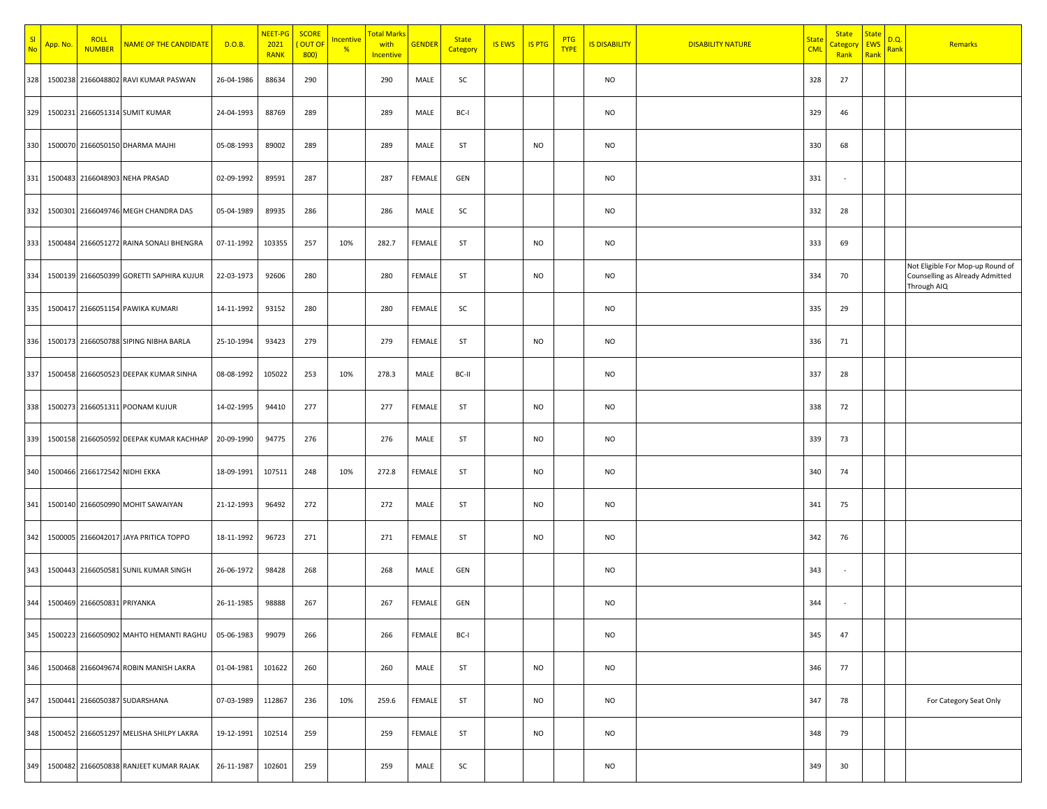| -SI<br>N <sub>0</sub> | <mark>App. No.</mark> | <b>ROLL</b><br><b>NUMBER</b>  | NAME OF THE CANDIDATE                    | D.O.B.     | NEET-PG<br>2021<br><b>RANK</b> | <b>SCORE</b><br>OUT OF<br>800 | <u>Incentive</u><br>% | <mark>Total Mark</mark><br>with<br>Incentive | <b>GENDER</b> | <b>State</b><br>Category | <b>IS EWS</b> | <b>IS PTG</b> | <b>PTG</b><br><b>TYPE</b> | <b>IS DISABILITY</b> | <b>DISABILITY NATURE</b> | <b>State</b><br><b>CML</b> | <b>State</b><br><mark>`ategor</mark><br>Rank | <b>State</b><br><b>EWS</b><br>Rank | <u>D.Q.</u><br><mark>Rank</mark> | Remarks                                                                            |
|-----------------------|-----------------------|-------------------------------|------------------------------------------|------------|--------------------------------|-------------------------------|-----------------------|----------------------------------------------|---------------|--------------------------|---------------|---------------|---------------------------|----------------------|--------------------------|----------------------------|----------------------------------------------|------------------------------------|----------------------------------|------------------------------------------------------------------------------------|
| 328                   |                       |                               | 1500238 2166048802 RAVI KUMAR PASWAN     | 26-04-1986 | 88634                          | 290                           |                       | 290                                          | MALE          | SC                       |               |               |                           | <b>NO</b>            |                          | 328                        | 27                                           |                                    |                                  |                                                                                    |
| 329                   |                       |                               | 1500231 2166051314 SUMIT KUMAR           | 24-04-1993 | 88769                          | 289                           |                       | 289                                          | MALE          | BC-I                     |               |               |                           | <b>NO</b>            |                          | 329                        | 46                                           |                                    |                                  |                                                                                    |
| 330                   |                       |                               | 1500070 2166050150 DHARMA MAJHI          | 05-08-1993 | 89002                          | 289                           |                       | 289                                          | MALE          | ST                       |               | <b>NO</b>     |                           | <b>NO</b>            |                          | 330                        | 68                                           |                                    |                                  |                                                                                    |
| 331                   |                       |                               | 1500483 2166048903 NEHA PRASAD           | 02-09-1992 | 89591                          | 287                           |                       | 287                                          | FEMALE        | GEN                      |               |               |                           | <b>NO</b>            |                          | 331                        | $\sim$                                       |                                    |                                  |                                                                                    |
| 332                   |                       |                               | 1500301 2166049746 MEGH CHANDRA DAS      | 05-04-1989 | 89935                          | 286                           |                       | 286                                          | MALE          | SC                       |               |               |                           | <b>NO</b>            |                          | 332                        | 28                                           |                                    |                                  |                                                                                    |
| 333                   |                       |                               | 1500484 2166051272 RAINA SONALI BHENGRA  | 07-11-1992 | 103355                         | 257                           | 10%                   | 282.7                                        | FEMALE        | ST                       |               | <b>NO</b>     |                           | <b>NO</b>            |                          | 333                        | 69                                           |                                    |                                  |                                                                                    |
| 334                   |                       |                               | 1500139 2166050399 GORETTI SAPHIRA KUJUR | 22-03-1973 | 92606                          | 280                           |                       | 280                                          | FEMALE        | ST                       |               | <b>NO</b>     |                           | <b>NO</b>            |                          | 334                        | 70                                           |                                    |                                  | Not Eligible For Mop-up Round of<br>Counselling as Already Admitted<br>Through AIQ |
| 335                   |                       |                               | 1500417 2166051154 PAWIKA KUMARI         | 14-11-1992 | 93152                          | 280                           |                       | 280                                          | FEMALE        | SC                       |               |               |                           | <b>NO</b>            |                          | 335                        | 29                                           |                                    |                                  |                                                                                    |
| 336                   |                       |                               | 1500173 2166050788 SIPING NIBHA BARLA    | 25-10-1994 | 93423                          | 279                           |                       | 279                                          | FEMALE        | ST                       |               | <b>NO</b>     |                           | <b>NO</b>            |                          | 336                        | 71                                           |                                    |                                  |                                                                                    |
| 337                   |                       |                               | 1500458 2166050523 DEEPAK KUMAR SINHA    | 08-08-1992 | 105022                         | 253                           | 10%                   | 278.3                                        | MALE          | BC-II                    |               |               |                           | <b>NO</b>            |                          | 337                        | 28                                           |                                    |                                  |                                                                                    |
| 338                   |                       |                               | 1500273 2166051311 POONAM KUJUR          | 14-02-1995 | 94410                          | 277                           |                       | 277                                          | FEMALE        | <b>ST</b>                |               | <b>NO</b>     |                           | <b>NO</b>            |                          | 338                        | 72                                           |                                    |                                  |                                                                                    |
| 339                   |                       |                               | 1500158 2166050592 DEEPAK KUMAR KACHHAP  | 20-09-1990 | 94775                          | 276                           |                       | 276                                          | MALE          | ST                       |               | <b>NO</b>     |                           | <b>NO</b>            |                          | 339                        | 73                                           |                                    |                                  |                                                                                    |
| 340                   |                       | 1500466 2166172542 NIDHI EKKA |                                          | 18-09-1991 | 107511                         | 248                           | 10%                   | 272.8                                        | FEMALE        | ST                       |               | <b>NO</b>     |                           | <b>NO</b>            |                          | 340                        | 74                                           |                                    |                                  |                                                                                    |
| 341                   |                       |                               | 1500140 2166050990 MOHIT SAWAIYAN        | 21-12-1993 | 96492                          | 272                           |                       | 272                                          | MALE          | ST                       |               | <b>NO</b>     |                           | <b>NO</b>            |                          | 341                        | 75                                           |                                    |                                  |                                                                                    |
| 342                   |                       |                               | 1500005 2166042017 JAYA PRITICA TOPPO    | 18-11-1992 | 96723                          | 271                           |                       | 271                                          | FEMALE        | ST                       |               | NO.           |                           | <b>NO</b>            |                          | 342                        | 76                                           |                                    |                                  |                                                                                    |
| 343                   |                       |                               | 1500443 2166050581 SUNIL KUMAR SINGH     | 26-06-1972 | 98428                          | 268                           |                       | 268                                          | MALE          | GEN                      |               |               |                           | <b>NO</b>            |                          | 343                        |                                              |                                    |                                  |                                                                                    |
| 344                   |                       | 1500469 2166050831 PRIYANKA   |                                          | 26-11-1985 | 98888                          | 267                           |                       | 267                                          | FEMALE        | GEN                      |               |               |                           | <b>NO</b>            |                          | 344                        |                                              |                                    |                                  |                                                                                    |
| 345                   |                       |                               | 1500223 2166050902 MAHTO HEMANTI RAGHU   | 05-06-1983 | 99079                          | 266                           |                       | 266                                          | FEMALE        | BC-I                     |               |               |                           | <b>NO</b>            |                          | 345                        | 47                                           |                                    |                                  |                                                                                    |
| 346                   |                       |                               | 1500468 2166049674 ROBIN MANISH LAKRA    | 01-04-1981 | 101622                         | 260                           |                       | 260                                          | MALE          | ST                       |               | <b>NO</b>     |                           | <b>NO</b>            |                          | 346                        | 77                                           |                                    |                                  |                                                                                    |
| 347                   |                       |                               | 1500441 2166050387 SUDARSHANA            | 07-03-1989 | 112867                         | 236                           | 10%                   | 259.6                                        | FEMALE        | <b>ST</b>                |               | <b>NO</b>     |                           | <b>NO</b>            |                          | 347                        | 78                                           |                                    |                                  | For Category Seat Only                                                             |
| 348                   |                       |                               | 1500452 2166051297 MELISHA SHILPY LAKRA  | 19-12-1991 | 102514                         | 259                           |                       | 259                                          | FEMALE        | <b>ST</b>                |               | <b>NO</b>     |                           | <b>NO</b>            |                          | 348                        | 79                                           |                                    |                                  |                                                                                    |
| 349                   |                       |                               | 1500482 2166050838 RANJEET KUMAR RAJAK   | 26-11-1987 | 102601                         | 259                           |                       | 259                                          | MALE          | SC                       |               |               |                           | <b>NO</b>            |                          | 349                        | 30                                           |                                    |                                  |                                                                                    |